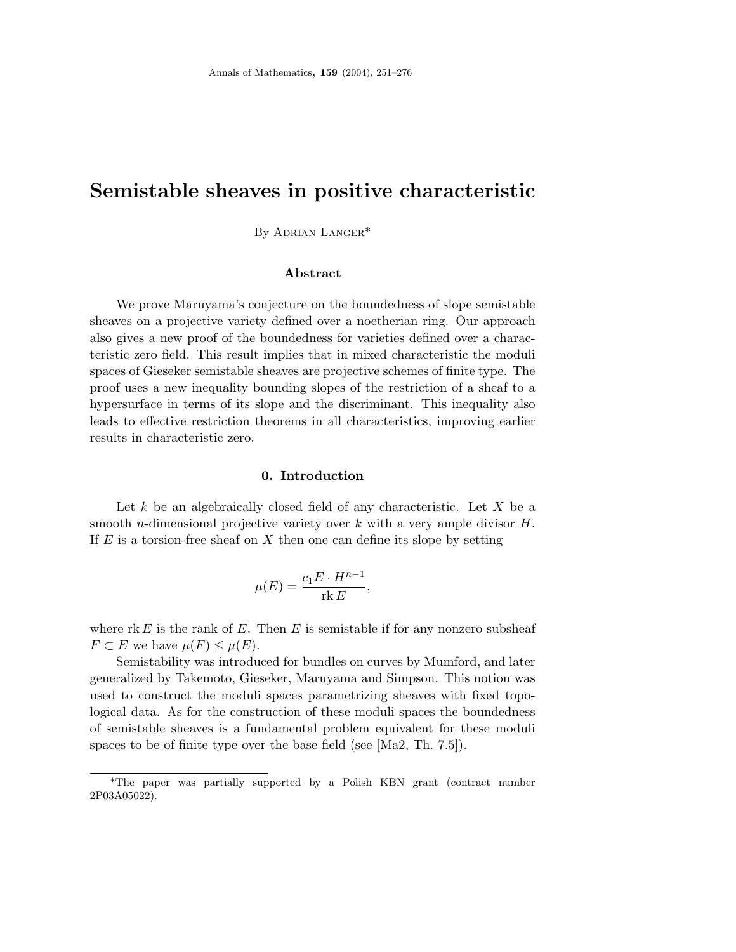# **Semistable sheaves in positive characteristic**

By Adrian Langer\*

## **Abstract**

We prove Maruyama's conjecture on the boundedness of slope semistable sheaves on a projective variety defined over a noetherian ring. Our approach also gives a new proof of the boundedness for varieties defined over a characteristic zero field. This result implies that in mixed characteristic the moduli spaces of Gieseker semistable sheaves are projective schemes of finite type. The proof uses a new inequality bounding slopes of the restriction of a sheaf to a hypersurface in terms of its slope and the discriminant. This inequality also leads to effective restriction theorems in all characteristics, improving earlier results in characteristic zero.

#### **0. Introduction**

Let *k* be an algebraically closed field of any characteristic. Let *X* be a smooth *n*-dimensional projective variety over *k* with a very ample divisor *H*. If *E* is a torsion-free sheaf on *X* then one can define its slope by setting

$$
\mu(E) = \frac{c_1 E \cdot H^{n-1}}{\operatorname{rk} E},
$$

where  $rk E$  is the rank of  $E$ . Then  $E$  is semistable if for any nonzero subsheaf *F*  $\subset$  *E* we have  $\mu$ (*F*)  $\leq \mu$ (*E*).

Semistability was introduced for bundles on curves by Mumford, and later generalized by Takemoto, Gieseker, Maruyama and Simpson. This notion was used to construct the moduli spaces parametrizing sheaves with fixed topological data. As for the construction of these moduli spaces the boundedness of semistable sheaves is a fundamental problem equivalent for these moduli spaces to be of finite type over the base field (see [Ma2, Th. 7.5]).

<sup>\*</sup>The paper was partially supported by a Polish KBN grant (contract number 2P03A05022).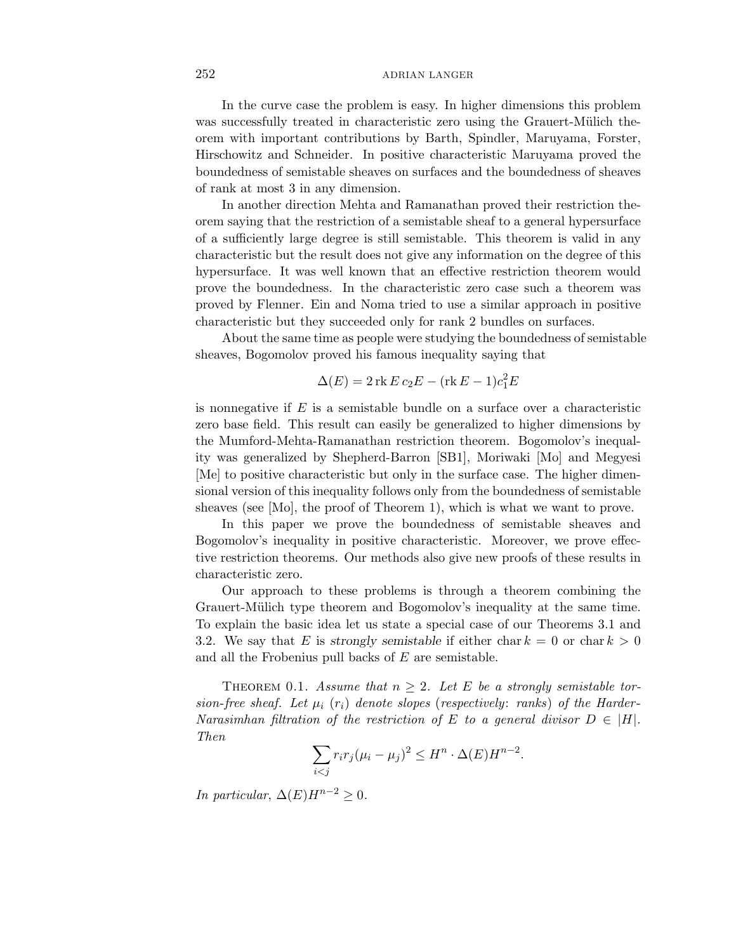In the curve case the problem is easy. In higher dimensions this problem was successfully treated in characteristic zero using the Grauert-Mülich theorem with important contributions by Barth, Spindler, Maruyama, Forster, Hirschowitz and Schneider. In positive characteristic Maruyama proved the boundedness of semistable sheaves on surfaces and the boundedness of sheaves of rank at most 3 in any dimension.

In another direction Mehta and Ramanathan proved their restriction theorem saying that the restriction of a semistable sheaf to a general hypersurface of a sufficiently large degree is still semistable. This theorem is valid in any characteristic but the result does not give any information on the degree of this hypersurface. It was well known that an effective restriction theorem would prove the boundedness. In the characteristic zero case such a theorem was proved by Flenner. Ein and Noma tried to use a similar approach in positive characteristic but they succeeded only for rank 2 bundles on surfaces.

About the same time as people were studying the boundedness of semistable sheaves, Bogomolov proved his famous inequality saying that

$$
\Delta(E) = 2 \operatorname{rk} E c_2 E - (\operatorname{rk} E - 1)c_1^2 E
$$

is nonnegative if *E* is a semistable bundle on a surface over a characteristic zero base field. This result can easily be generalized to higher dimensions by the Mumford-Mehta-Ramanathan restriction theorem. Bogomolov's inequality was generalized by Shepherd-Barron [SB1], Moriwaki [Mo] and Megyesi [Me] to positive characteristic but only in the surface case. The higher dimensional version of this inequality follows only from the boundedness of semistable sheaves (see [Mo], the proof of Theorem 1), which is what we want to prove.

In this paper we prove the boundedness of semistable sheaves and Bogomolov's inequality in positive characteristic. Moreover, we prove effective restriction theorems. Our methods also give new proofs of these results in characteristic zero.

Our approach to these problems is through a theorem combining the Grauert-Mülich type theorem and Bogomolov's inequality at the same time. To explain the basic idea let us state a special case of our Theorems 3.1 and 3.2. We say that *E* is *strongly semistable* if either char  $k = 0$  or char  $k > 0$ and all the Frobenius pull backs of *E* are semistable.

THEOREM 0.1. Assume that  $n \geq 2$ . Let *E* be a strongly semistable torsion-free sheaf. Let  $\mu_i$  ( $r_i$ ) denote slopes (respectively: ranks) of the Harder-Narasimhan filtration of the restriction of *E* to a general divisor  $D \in |H|$ . Then

$$
\sum_{i < j} r_i r_j (\mu_i - \mu_j)^2 \le H^n \cdot \Delta(E) H^{n-2}.
$$

In particular,  $\Delta(E)H^{n-2} > 0$ .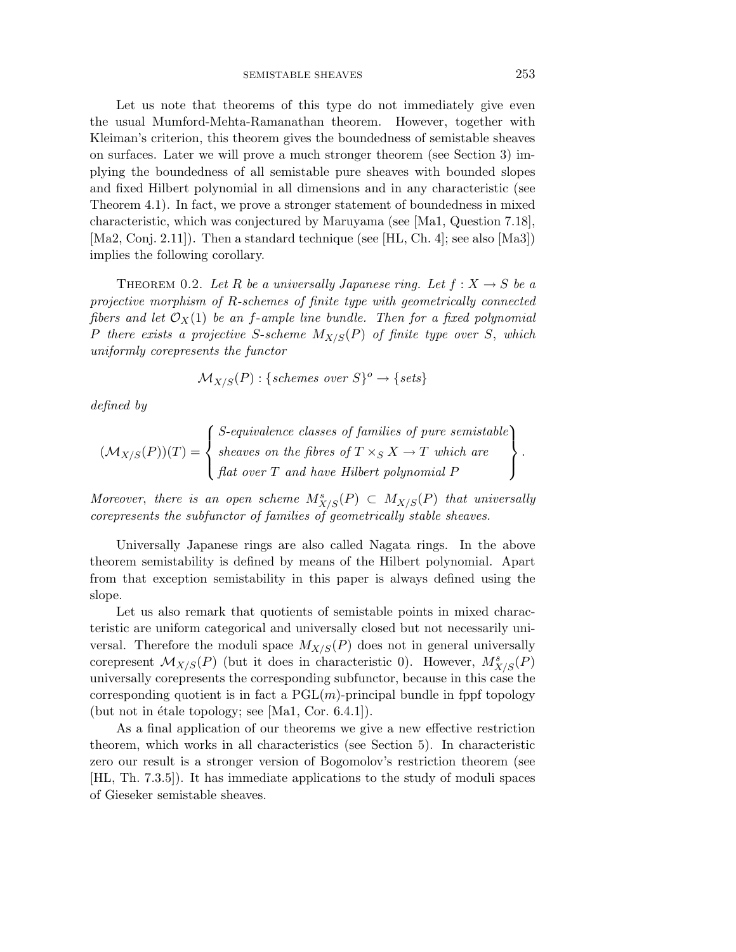Let us note that theorems of this type do not immediately give even the usual Mumford-Mehta-Ramanathan theorem. However, together with Kleiman's criterion, this theorem gives the boundedness of semistable sheaves on surfaces. Later we will prove a much stronger theorem (see Section 3) implying the boundedness of all semistable pure sheaves with bounded slopes and fixed Hilbert polynomial in all dimensions and in any characteristic (see Theorem 4.1). In fact, we prove a stronger statement of boundedness in mixed characteristic, which was conjectured by Maruyama (see [Ma1, Question 7.18], [Ma2, Conj. 2.11]). Then a standard technique (see [HL, Ch. 4]; see also [Ma3]) implies the following corollary.

THEOREM 0.2. Let *R* be a universally Japanese ring. Let  $f: X \to S$  be a projective morphism of *R*-schemes of finite type with geometrically connected fibers and let  $\mathcal{O}_X(1)$  be an *f*-ample line bundle. Then for a fixed polynomial *P* there exists a projective *S*-scheme *M*X/S(*P*) of finite type over *S*, which uniformly corepresents the functor

$$
\mathcal{M}_{X/S}(P) : \{schemes\ over\ S\}^o \to \{sets\}
$$

defined by

$$
(\mathcal{M}_{X/S}(P))(T) = \begin{cases} S\text{-equivalence classes of families of pure semistable} \\ \text{sheaves on the fibres of } T \times_S X \to T \text{ which are} \\ \text{flat over } T \text{ and have Hilbert polynomial } P \end{cases}.
$$

Moreover, there is an open scheme  $M_{X/S}^s(P) \subset M_{X/S}(P)$  that universally corepresents the subfunctor of families of geometrically stable sheaves.

Universally Japanese rings are also called Nagata rings. In the above theorem semistability is defined by means of the Hilbert polynomial. Apart from that exception semistability in this paper is always defined using the slope.

Let us also remark that quotients of semistable points in mixed characteristic are uniform categorical and universally closed but not necessarily universal. Therefore the moduli space  $M_{X/S}(P)$  does not in general universally corepresent  $\mathcal{M}_{X/S}(P)$  (but it does in characteristic 0). However,  $M^s_{X/S}(P)$ universally corepresents the corresponding subfunctor, because in this case the corresponding quotient is in fact a  $PGL(m)$ -principal bundle in fppf topology (but not in étale topology; see  $[Ma1, Cor. 6.4.1]$ ).

As a final application of our theorems we give a new effective restriction theorem, which works in all characteristics (see Section 5). In characteristic zero our result is a stronger version of Bogomolov's restriction theorem (see [HL, Th. 7.3.5]). It has immediate applications to the study of moduli spaces of Gieseker semistable sheaves.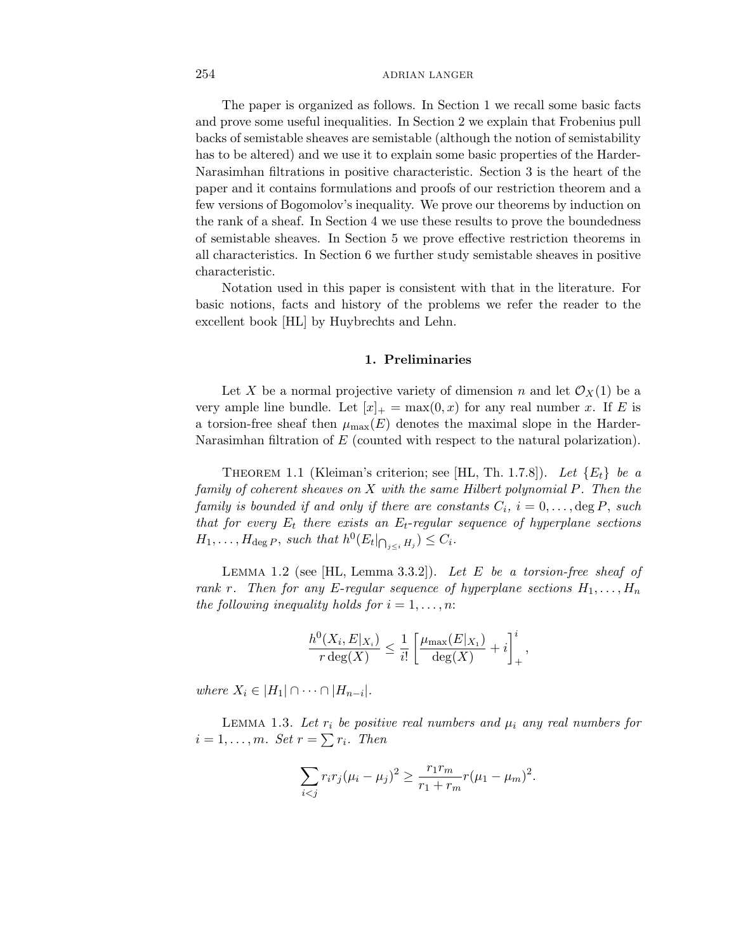The paper is organized as follows. In Section 1 we recall some basic facts and prove some useful inequalities. In Section 2 we explain that Frobenius pull backs of semistable sheaves are semistable (although the notion of semistability has to be altered) and we use it to explain some basic properties of the Harder-Narasimhan filtrations in positive characteristic. Section 3 is the heart of the paper and it contains formulations and proofs of our restriction theorem and a few versions of Bogomolov's inequality. We prove our theorems by induction on the rank of a sheaf. In Section 4 we use these results to prove the boundedness of semistable sheaves. In Section 5 we prove effective restriction theorems in all characteristics. In Section 6 we further study semistable sheaves in positive characteristic.

Notation used in this paper is consistent with that in the literature. For basic notions, facts and history of the problems we refer the reader to the excellent book [HL] by Huybrechts and Lehn.

#### **1. Preliminaries**

Let X be a normal projective variety of dimension *n* and let  $\mathcal{O}_X(1)$  be a very ample line bundle. Let  $|x|_+ = \max(0, x)$  for any real number *x*. If *E* is a torsion-free sheaf then  $\mu_{\max}(E)$  denotes the maximal slope in the Harder-Narasimhan filtration of *E* (counted with respect to the natural polarization).

THEOREM 1.1 (Kleiman's criterion; see [HL, Th. 1.7.8]). Let  ${E_t}$  be a family of coherent sheaves on *X* with the same Hilbert polynomial *P*. Then the family is bounded if and only if there are constants  $C_i$ ,  $i = 0, \ldots, \deg P$ , such that for every  $E_t$  there exists an  $E_t$ -regular sequence of hyperplane sections  $H_1, \ldots, H_{\text{deg }P}$ , such that  $h^0(E_t|_{\bigcap_{j\leq i} H_j}) \leq C_i$ .

Lemma 1.2 (see [HL, Lemma 3.3.2]). Let *E* be a torsion-free sheaf of rank *r*. Then for any *E*-regular sequence of hyperplane sections  $H_1, \ldots, H_n$ the following inequality holds for  $i = 1, \ldots, n$ :

$$
\frac{h^0(X_i, E|_{X_i})}{r \deg(X)} \le \frac{1}{i!} \left[ \frac{\mu_{\max}(E|_{X_1})}{\deg(X)} + i \right]_+^i,
$$

where  $X_i \in |H_1| \cap \cdots \cap |H_{n-i}|$ .

LEMMA 1.3. Let  $r_i$  be positive real numbers and  $\mu_i$  any real numbers for  $i = 1, \ldots, m$ . Set  $r = \sum r_i$ . Then

$$
\sum_{i < j} r_i r_j (\mu_i - \mu_j)^2 \ge \frac{r_1 r_m}{r_1 + r_m} r (\mu_1 - \mu_m)^2.
$$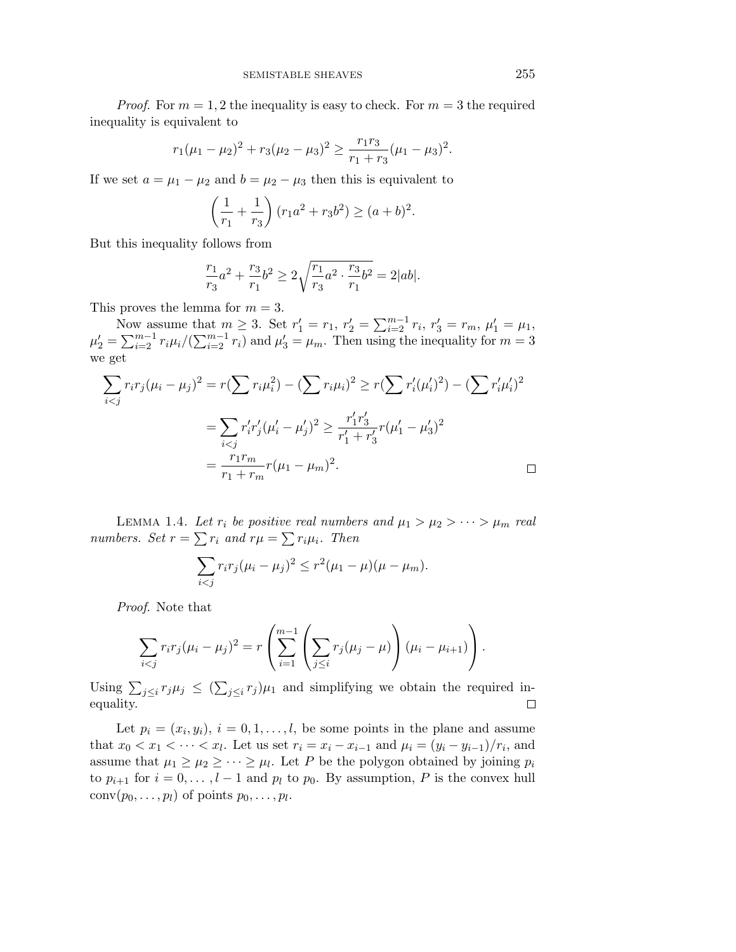*Proof.* For  $m = 1, 2$  the inequality is easy to check. For  $m = 3$  the required inequality is equivalent to

$$
r_1(\mu_1 - \mu_2)^2 + r_3(\mu_2 - \mu_3)^2 \ge \frac{r_1 r_3}{r_1 + r_3}(\mu_1 - \mu_3)^2.
$$

If we set  $a = \mu_1 - \mu_2$  and  $b = \mu_2 - \mu_3$  then this is equivalent to

$$
\left(\frac{1}{r_1} + \frac{1}{r_3}\right)(r_1a^2 + r_3b^2) \ge (a+b)^2.
$$

But this inequality follows from

$$
\frac{r_1}{r_3}a^2 + \frac{r_3}{r_1}b^2 \ge 2\sqrt{\frac{r_1}{r_3}a^2 \cdot \frac{r_3}{r_1}b^2} = 2|ab|.
$$

This proves the lemma for  $m = 3$ .

Now assume that  $m \geq 3$ . Set  $r'_1 = r_1$ ,  $r'_2 = \sum_{i=2}^{m-1} r_i$ ,  $r'_3 = r_m$ ,  $\mu'_1 = \mu_1$ ,  $\mu'_2 = \sum_{i=2}^{m-1} r_i \mu_i / (\sum_{i=2}^{m-1} r_i)$  and  $\mu'_3 = \mu_m$ . Then using the inequality for  $m = 3$ we get

$$
\sum_{i < j} r_i r_j (\mu_i - \mu_j)^2 = r(\sum r_i \mu_i^2) - (\sum r_i \mu_i)^2 \ge r(\sum r_i' (\mu_i')^2) - (\sum r_i' \mu_i')^2
$$
\n
$$
= \sum_{i < j} r_i' r_j' (\mu_i' - \mu_j')^2 \ge \frac{r_1' r_3'}{r_1' + r_3'} r(\mu_1' - \mu_3')^2
$$
\n
$$
= \frac{r_1 r_m}{r_1 + r_m} r(\mu_1 - \mu_m)^2.
$$

LEMMA 1.4. Let  $r_i$  be positive real numbers and  $\mu_1 > \mu_2 > \cdots > \mu_m$  real numbers. Set  $r = \sum r_i$  and  $r\mu = \sum r_i\mu_i$ . Then

$$
\sum_{i < j} r_i r_j (\mu_i - \mu_j)^2 \le r^2 (\mu_1 - \mu)(\mu - \mu_m).
$$

Proof. Note that

$$
\sum_{i < j} r_i r_j (\mu_i - \mu_j)^2 = r \left( \sum_{i=1}^{m-1} \left( \sum_{j \leq i} r_j (\mu_j - \mu) \right) (\mu_i - \mu_{i+1}) \right).
$$

Using  $\sum_{j\leq i} r_j \mu_j \leq (\sum_{j\leq i} r_j) \mu_1$  and simplifying we obtain the required inequality.

Let  $p_i = (x_i, y_i), i = 0, 1, \ldots, l$ , be some points in the plane and assume that  $x_0 < x_1 < \cdots < x_l$ . Let us set  $r_i = x_i - x_{i-1}$  and  $\mu_i = (y_i - y_{i-1})/r_i$ , and assume that  $\mu_1 \geq \mu_2 \geq \cdots \geq \mu_l$ . Let *P* be the polygon obtained by joining  $p_i$ to  $p_{i+1}$  for  $i = 0, \ldots, l-1$  and  $p_l$  to  $p_0$ . By assumption, P is the convex hull  $conv(p_0, \ldots, p_l)$  of points  $p_0, \ldots, p_l$ .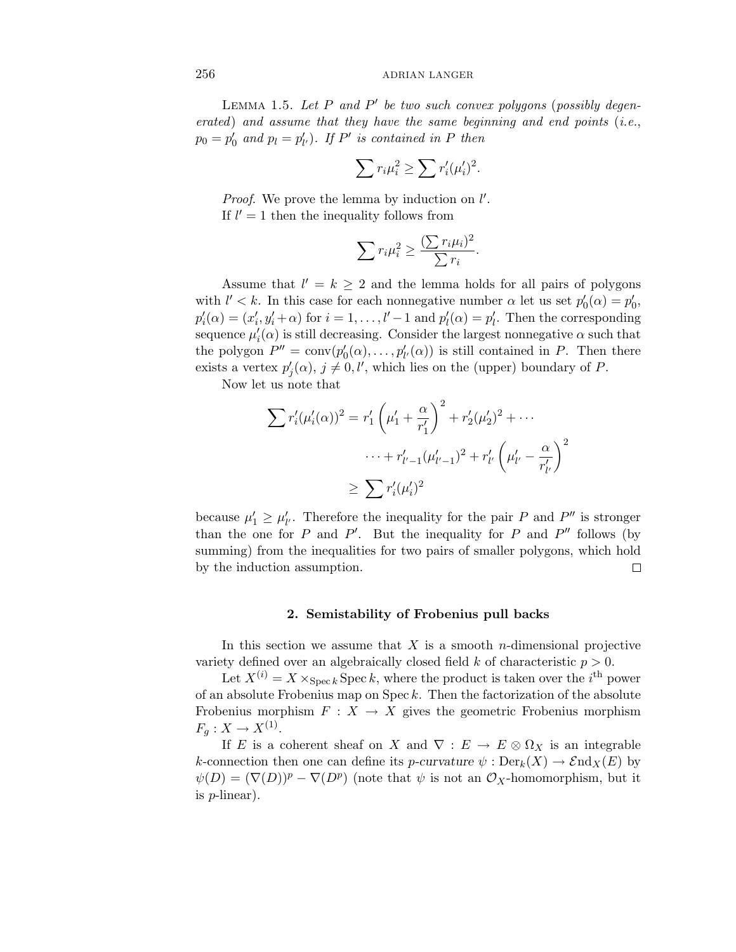LEMMA 1.5. Let P and P' be two such convex polygons (possibly degenerated) and assume that they have the same beginning and end points (i.e.,  $p_0 = p'_0$  and  $p_l = p'_{l'}$ ). If *P'* is contained in *P* then

$$
\sum r_i \mu_i^2 \ge \sum r_i' (\mu_i')^2.
$$

*Proof.* We prove the lemma by induction on  $l'$ . If  $l' = 1$  then the inequality follows from

$$
\sum r_i \mu_i^2 \ge \frac{(\sum r_i \mu_i)^2}{\sum r_i}
$$

*.*

Assume that  $l' = k \geq 2$  and the lemma holds for all pairs of polygons with  $l' < k$ . In this case for each nonnegative number  $\alpha$  let us set  $p'_{0}(\alpha) = p'_{0}$ ,  $p'_{i}(\alpha) = (x'_{i}, y'_{i} + \alpha)$  for  $i = 1, \ldots, l' - 1$  and  $p'_{l}(\alpha) = p'_{l}$ . Then the corresponding sequence  $\mu'_i(\alpha)$  is still decreasing. Consider the largest nonnegative  $\alpha$  such that the polygon  $P'' = \text{conv}(p'_0(\alpha), \ldots, p'_{l'}(\alpha))$  is still contained in *P*. Then there exists a vertex  $p'_{j}(\alpha)$ ,  $j \neq 0, l'$ , which lies on the (upper) boundary of *P*.

Now let us note that

$$
\sum r'_i (\mu'_i(\alpha))^2 = r'_1 \left( \mu'_1 + \frac{\alpha}{r'_1} \right)^2 + r'_2 (\mu'_2)^2 + \cdots
$$
  
 
$$
\cdots + r'_{l'-1} (\mu'_{l'-1})^2 + r'_{l'} \left( \mu'_{l'} - \frac{\alpha}{r'_{l'}} \right)^2
$$
  

$$
\geq \sum r'_i (\mu'_i)^2
$$

because  $\mu'_1 \ge \mu'_{l'}$ . Therefore the inequality for the pair *P* and *P*<sup>*n*</sup> is stronger than the one for *P* and *P'*. But the inequality for *P* and  $P''$  follows (by summing) from the inequalities for two pairs of smaller polygons, which hold by the induction assumption. 口

#### **2. Semistability of Frobenius pull backs**

In this section we assume that *X* is a smooth *n*-dimensional projective variety defined over an algebraically closed field  $k$  of characteristic  $p > 0$ .

Let  $X^{(i)} = X \times_{\text{Spec } k} \text{Spec } k$ , where the product is taken over the *i*<sup>th</sup> power of an absolute Frobenius map on Spec *k*. Then the factorization of the absolute Frobenius morphism  $F: X \to X$  gives the geometric Frobenius morphism  $F_q: X \to X^{(1)}$ .

If *E* is a coherent sheaf on *X* and  $\nabla : E \to E \otimes \Omega_X$  is an integrable *k*-connection then one can define its *p*-curvature  $\psi$ : Der<sub>k</sub>(*X*)  $\rightarrow$  End<sub>*X*</sub>(*E*) by  $\psi(D) = (\nabla(D))^p - \nabla(D^p)$  (note that  $\psi$  is not an  $\mathcal{O}_X$ -homomorphism, but it is *p*-linear).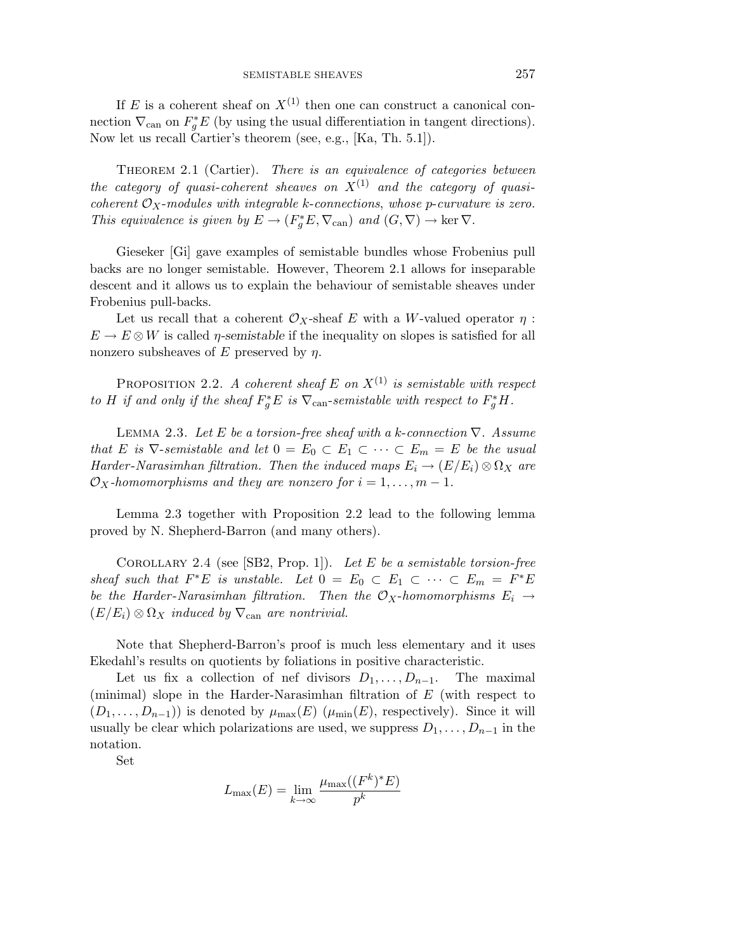If  $E$  is a coherent sheaf on  $X^{(1)}$  then one can construct a canonical connection  $\nabla_{\text{can}}$  on  $F_g^*E$  (by using the usual differentiation in tangent directions). Now let us recall Cartier's theorem (see, e.g., [Ka, Th. 5.1]).

THEOREM 2.1 (Cartier). There is an equivalence of categories between the category of quasi-coherent sheaves on  $X^{(1)}$  and the category of quasicoherent  $\mathcal{O}_X$ -modules with integrable *k*-connections, whose *p*-curvature is zero. This equivalence is given by  $E \to (F_g^*E, \nabla_{\text{can}})$  and  $(G, \nabla) \to \text{ker } \nabla$ .

Gieseker [Gi] gave examples of semistable bundles whose Frobenius pull backs are no longer semistable. However, Theorem 2.1 allows for inseparable descent and it allows us to explain the behaviour of semistable sheaves under Frobenius pull-backs.

Let us recall that a coherent  $\mathcal{O}_X$ -sheaf *E* with a *W*-valued operator  $\eta$ :  $E \to E \otimes W$  is called *η*-semistable if the inequality on slopes is satisfied for all nonzero subsheaves of *E* preserved by *η*.

PROPOSITION 2.2. A coherent sheaf  $E$  on  $X^{(1)}$  is semistable with respect to *H* if and only if the sheaf  $F_g^*E$  is  $\nabla_{\text{can}}$ -semistable with respect to  $F_g^*H$ .

Lemma 2.3. Let *E* be a torsion-free sheaf with a *k*-connection ∇. Assume that *E* is  $\nabla$ -semistable and let  $0 = E_0 \subset E_1 \subset \cdots \subset E_m = E$  be the usual Harder-Narasimhan filtration. Then the induced maps  $E_i \to (E/E_i) \otimes \Omega_X$  are  $\mathcal{O}_X$ -homomorphisms and they are nonzero for  $i = 1, \ldots, m - 1$ .

Lemma 2.3 together with Proposition 2.2 lead to the following lemma proved by N. Shepherd-Barron (and many others).

Corollary 2.4 (see [SB2, Prop. 1]). Let *E* be a semistable torsion-free sheaf such that  $F^*E$  is unstable. Let  $0 = E_0 \subset E_1 \subset \cdots \subset E_m = F^*E$ be the Harder-Narasimhan filtration. Then the  $\mathcal{O}_X$ -homomorphisms  $E_i \rightarrow$  $(E/E_i) \otimes \Omega_X$  induced by  $\nabla_{\text{can}}$  are nontrivial.

Note that Shepherd-Barron's proof is much less elementary and it uses Ekedahl's results on quotients by foliations in positive characteristic.

Let us fix a collection of nef divisors  $D_1, \ldots, D_{n-1}$ . The maximal (minimal) slope in the Harder-Narasimhan filtration of *E* (with respect to  $(D_1, \ldots, D_{n-1})$  is denoted by  $\mu_{\max}(E)$  ( $\mu_{\min}(E)$ , respectively). Since it will usually be clear which polarizations are used, we suppress  $D_1, \ldots, D_{n-1}$  in the notation.

Set

$$
L_{\max}(E) = \lim_{k \to \infty} \frac{\mu_{\max}((F^k)^*E)}{p^k}
$$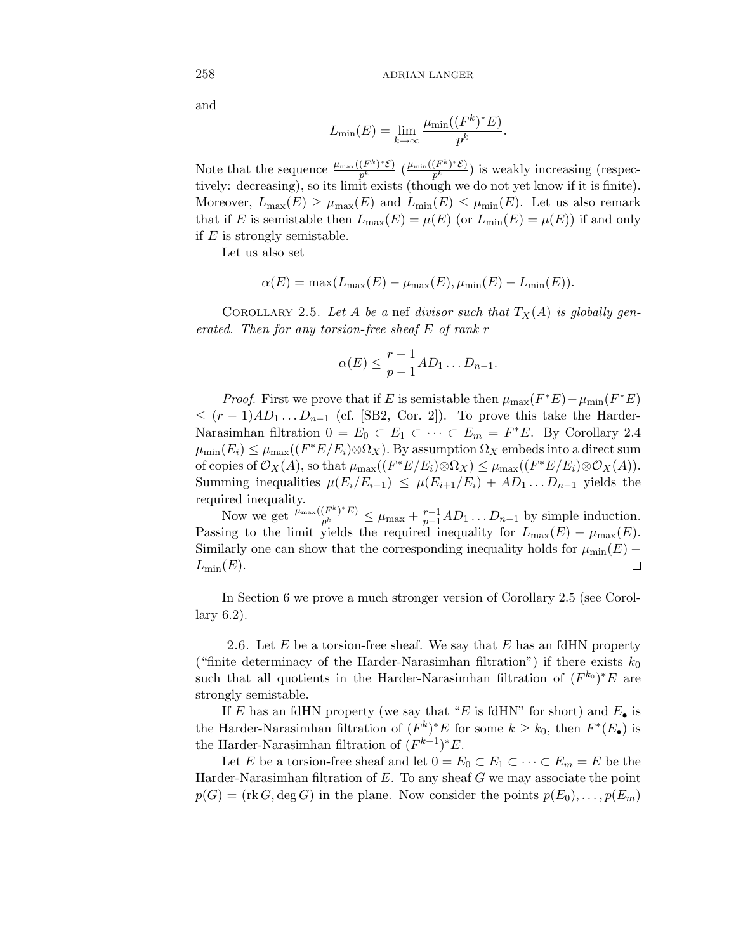and

$$
L_{\min}(E) = \lim_{k \to \infty} \frac{\mu_{\min}((F^k)^* E)}{p^k}.
$$

Note that the sequence  $\frac{\mu_{\max}((F^k)^*\mathcal{E})}{p^k}$  ( $\frac{\mu_{\min}((F^k)^*\mathcal{E})}{p^k}$ ) is weakly increasing (respectively: decreasing), so its limit exists (though we do not yet know if it is finite). Moreover,  $L_{\text{max}}(E) \ge \mu_{\text{max}}(E)$  and  $L_{\text{min}}(E) \le \mu_{\text{min}}(E)$ . Let us also remark that if *E* is semistable then  $L_{\text{max}}(E) = \mu(E)$  (or  $L_{\text{min}}(E) = \mu(E)$ ) if and only if *E* is strongly semistable.

Let us also set

$$
\alpha(E) = \max(L_{\max}(E) - \mu_{\max}(E), \mu_{\min}(E) - L_{\min}(E)).
$$

COROLLARY 2.5. Let *A* be a nef divisor such that  $T_X(A)$  is globally generated. Then for any torsion-free sheaf *E* of rank *r*

$$
\alpha(E) \leq \frac{r-1}{p-1} AD_1 \dots D_{n-1}.
$$

*Proof.* First we prove that if *E* is semistable then  $\mu_{\max}(F^*E) - \mu_{\min}(F^*E)$  $\leq (r-1)AD_1...D_{n-1}$  (cf. [SB2, Cor. 2]). To prove this take the Harder-Narasimhan filtration  $0 = E_0 \subset E_1 \subset \cdots \subset E_m = F^*E$ . By Corollary 2.4  $\mu_{\min}(E_i) \leq \mu_{\max}((F^*E/E_i) \otimes \Omega_X)$ . By assumption  $\Omega_X$  embeds into a direct sum of copies of  $\mathcal{O}_X(A)$ , so that  $\mu_{\max}((F^*E/E_i)\otimes \Omega_X) \leq \mu_{\max}((F^*E/E_i)\otimes \mathcal{O}_X(A)).$ Summing inequalities  $\mu(E_i/E_{i-1}) \leq \mu(E_{i+1}/E_i) + AD_1 \dots D_{n-1}$  yields the required inequality.

Now we get  $\frac{\mu_{\max}((F^k)^*E)}{p^k} \leq \mu_{\max} + \frac{r-1}{p-1}AD_1 \ldots D_{n-1}$  by simple induction. Passing to the limit yields the required inequality for  $L_{\text{max}}(E) - \mu_{\text{max}}(E)$ . Similarly one can show that the corresponding inequality holds for  $\mu_{\min}(E)$  –  $L_{\min}(E)$ .  $\Box$ 

In Section 6 we prove a much stronger version of Corollary 2.5 (see Corollary 6.2).

2.6. Let *E* be a torsion-free sheaf. We say that *E* has an fdHN property ("finite determinacy of the Harder-Narasimhan filtration") if there exists  $k_0$ such that all quotients in the Harder-Narasimhan filtration of  $(F^{k_0})^*E$  are strongly semistable.

If *E* has an fdHN property (we say that "*E* is fdHN" for short) and  $E_{\bullet}$  is the Harder-Narasimhan filtration of  $(F^k)^*E$  for some  $k \geq k_0$ , then  $F^*(E_{\bullet})$  is the Harder-Narasimhan filtration of  $(F^{k+1})^*E$ .

Let *E* be a torsion-free sheaf and let  $0 = E_0 \subset E_1 \subset \cdots \subset E_m = E$  be the Harder-Narasimhan filtration of *E*. To any sheaf *G* we may associate the point  $p(G) = (\text{rk } G, \deg G)$  in the plane. Now consider the points  $p(E_0), \ldots, p(E_m)$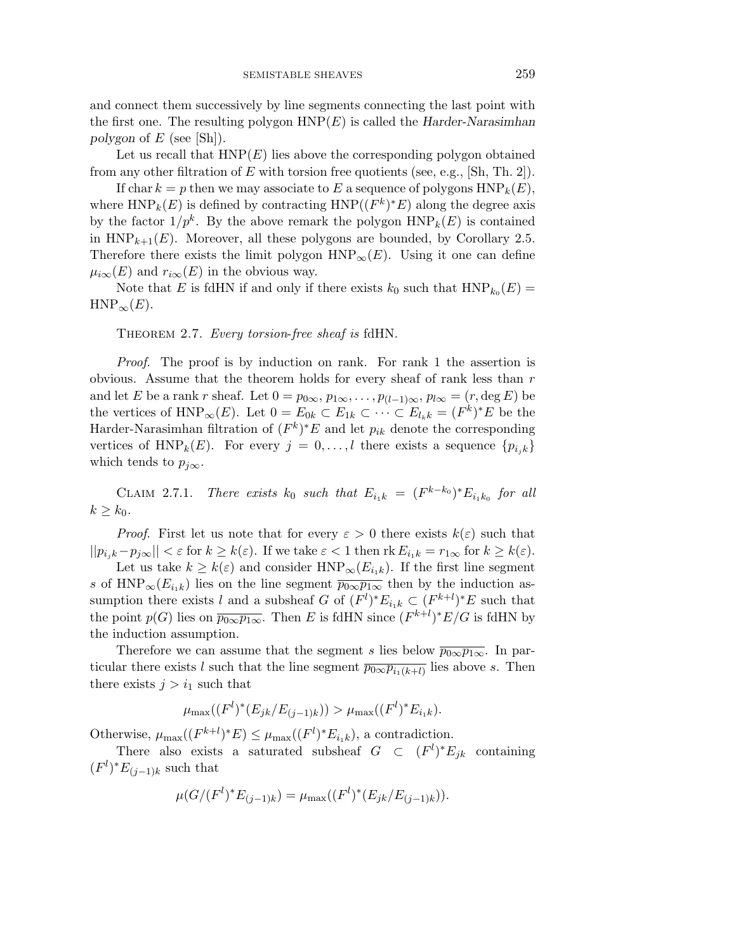and connect them successively by line segments connecting the last point with the first one. The resulting polygon HNP(*E*) is called the *Harder-Narasimhan polygon* of *E* (see [Sh]).

Let us recall that  $HNP(E)$  lies above the corresponding polygon obtained from any other filtration of *E* with torsion free quotients (see, e.g., [Sh, Th. 2]).

If char  $k = p$  then we may associate to E a sequence of polygons  $HNP_k(E)$ , where  $HNP_k(E)$  is defined by contracting  $HNP((F^k)^*E)$  along the degree axis by the factor  $1/p^k$ . By the above remark the polygon  $HNP_k(E)$  is contained in  $HNP_{k+1}(E)$ . Moreover, all these polygons are bounded, by Corollary 2.5. Therefore there exists the limit polygon  $HNP_{\infty}(E)$ . Using it one can define  $\mu_{i\infty}(E)$  and  $r_{i\infty}(E)$  in the obvious way.

Note that *E* is fdHN if and only if there exists  $k_0$  such that  $HNP_{k_0}(E)$  =  $HNP_{\infty}(E)$ .

THEOREM 2.7. Every torsion-free sheaf is fdHN.

Proof. The proof is by induction on rank. For rank 1 the assertion is obvious. Assume that the theorem holds for every sheaf of rank less than *r* and let *E* be a rank *r* sheaf. Let  $0 = p_{0\infty}, p_{1\infty}, \ldots, p_{(l-1)\infty}, p_{l\infty} = (r, \deg E)$  be the vertices of HNP<sub>∞</sub>(*E*). Let  $0 = E_{0k} \subset E_{1k} \subset \cdots \subset E_{l_k k} = (F^k)^* E$  be the Harder-Narasimhan filtration of  $(F^k)^*E$  and let  $p_{ik}$  denote the corresponding vertices of HNP<sub>k</sub>(*E*). For every  $j = 0, \ldots, l$  there exists a sequence  $\{p_{i,k}\}\$ which tends to  $p_{j\infty}$ .

CLAIM 2.7.1. There exists  $k_0$  such that  $E_{i_1k} = (F^{k-k_0})^* E_{i_1k_0}$  for all  $k \geq k_0$ .

*Proof.* First let us note that for every  $\varepsilon > 0$  there exists  $k(\varepsilon)$  such that  $||p_{i,k} - p_{j\infty}|| < \varepsilon$  for  $k \geq k(\varepsilon)$ . If we take  $\varepsilon < 1$  then  $\text{rk } E_{i,k} = r_{1\infty}$  for  $k \geq k(\varepsilon)$ .

Let us take  $k \geq k(\varepsilon)$  and consider HNP<sub>∞</sub> $(E_{i_1k})$ . If the first line segment *s* of HNP<sub>∞</sub> $(E_{i,k})$  lies on the line segment  $\overline{p_{0\infty}p_{1\infty}}$  then by the induction assumption there exists *l* and a subsheaf *G* of  $(F<sup>l</sup>)$ <sup>\*</sup> $E<sub>i,k</sub> \subset (F<sup>k+l</sup>)$ <sup>\*</sup> $E$  such that the point  $p(G)$  lies on  $\overline{p_{0\infty}p_{1\infty}}$ . Then *E* is fdHN since  $(F^{k+l})^*E/G$  is fdHN by the induction assumption.

Therefore we can assume that the segment *s* lies below  $\overline{p_{0\infty}p_{1\infty}}$ . In particular there exists *l* such that the line segment  $\overline{p_{0\infty}p_{i_1(k+l)}}$  lies above *s*. Then there exists  $j>i_1$  such that

$$
\mu_{\max}((F^l)^*(E_{jk}/E_{(j-1)k})) > \mu_{\max}((F^l)^*E_{i_1k}).
$$

Otherwise,  $\mu_{\max}((F^{k+l})^*E) \leq \mu_{\max}((F^l)^*E_{i_1k}),$  a contradiction.

There also exists a saturated subsheaf  $G \subset (F^l)^* E_{jk}$  containing  $(F<sup>l</sup>)<sup>*</sup>E<sub>(j-1)k</sub>$  such that

$$
\mu(G/(F^l)^*E_{(j-1)k}) = \mu_{\max}((F^l)^*(E_{jk}/E_{(j-1)k})).
$$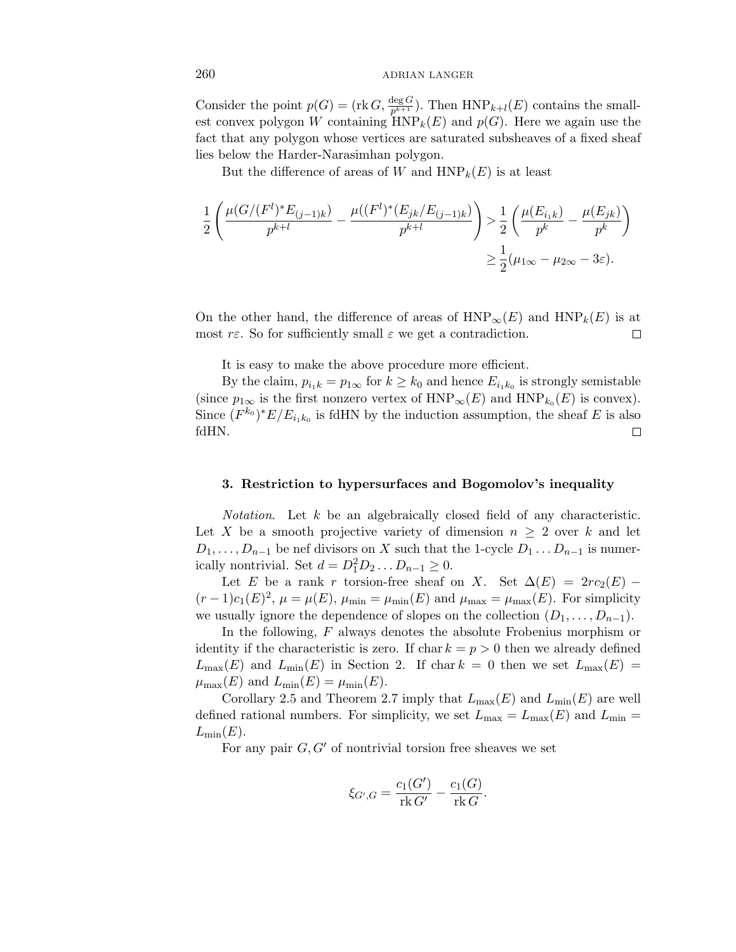Consider the point  $p(G) = (\text{rk } G, \frac{\deg G}{p^{k+1}})$ . Then  $HNP_{k+l}(E)$  contains the smallest convex polygon *W* containing  $HNP_k(E)$  and  $p(G)$ . Here we again use the fact that any polygon whose vertices are saturated subsheaves of a fixed sheaf lies below the Harder-Narasimhan polygon.

But the difference of areas of *W* and  $HNP_k(E)$  is at least

$$
\frac{1}{2} \left( \frac{\mu(G/(F^l)^* E_{(j-1)k})}{p^{k+l}} - \frac{\mu((F^l)^*(E_{jk}/E_{(j-1)k})}{p^{k+l}} \right) > \frac{1}{2} \left( \frac{\mu(E_{i_1k})}{p^k} - \frac{\mu(E_{jk})}{p^k} \right)
$$
  

$$
\geq \frac{1}{2} (\mu_{1\infty} - \mu_{2\infty} - 3\varepsilon).
$$

On the other hand, the difference of areas of  $HNP_{\infty}(E)$  and  $HNP_{k}(E)$  is at most  $r\epsilon$ . So for sufficiently small  $\epsilon$  we get a contradiction. □

It is easy to make the above procedure more efficient.

By the claim,  $p_{i_1k} = p_{1\infty}$  for  $k \geq k_0$  and hence  $E_{i_1k_0}$  is strongly semistable (since  $p_{1\infty}$  is the first nonzero vertex of  $HNP_{\infty}(E)$  and  $HNP_{k_0}(E)$  is convex). Since  $(F^{k_0})^*E/E_{i_1k_0}$  is fdHN by the induction assumption, the sheaf *E* is also fdHN.  $\Box$ 

#### **3. Restriction to hypersurfaces and Bogomolov's inequality**

Notation. Let *k* be an algebraically closed field of any characteristic. Let X be a smooth projective variety of dimension  $n \geq 2$  over k and let  $D_1, \ldots, D_{n-1}$  be nef divisors on *X* such that the 1-cycle  $D_1 \ldots D_{n-1}$  is numerically nontrivial. Set  $d = D_1^2 D_2 ... D_{n-1} \ge 0$ .

Let *E* be a rank *r* torsion-free sheaf on *X*. Set  $\Delta(E) = 2rc_2(E)$  −  $(r-1)c_1(E)^2$ ,  $\mu = \mu(E)$ ,  $\mu_{\min} = \mu_{\min}(E)$  and  $\mu_{\max} = \mu_{\max}(E)$ . For simplicity we usually ignore the dependence of slopes on the collection  $(D_1, \ldots, D_{n-1})$ .

In the following, *F* always denotes the absolute Frobenius morphism or identity if the characteristic is zero. If char  $k = p > 0$  then we already defined  $L_{\text{max}}(E)$  and  $L_{\text{min}}(E)$  in Section 2. If char  $k = 0$  then we set  $L_{\text{max}}(E) =$  $\mu_{\max}(E)$  and  $L_{\min}(E) = \mu_{\min}(E)$ .

Corollary 2.5 and Theorem 2.7 imply that  $L_{\text{max}}(E)$  and  $L_{\text{min}}(E)$  are well defined rational numbers. For simplicity, we set  $L_{\text{max}} = L_{\text{max}}(E)$  and  $L_{\text{min}} =$  $L_{\min}(E)$ .

For any pair  $G, G'$  of nontrivial torsion free sheaves we set

$$
\xi_{G',G} = \frac{c_1(G')}{\text{rk } G'} - \frac{c_1(G)}{\text{rk } G}.
$$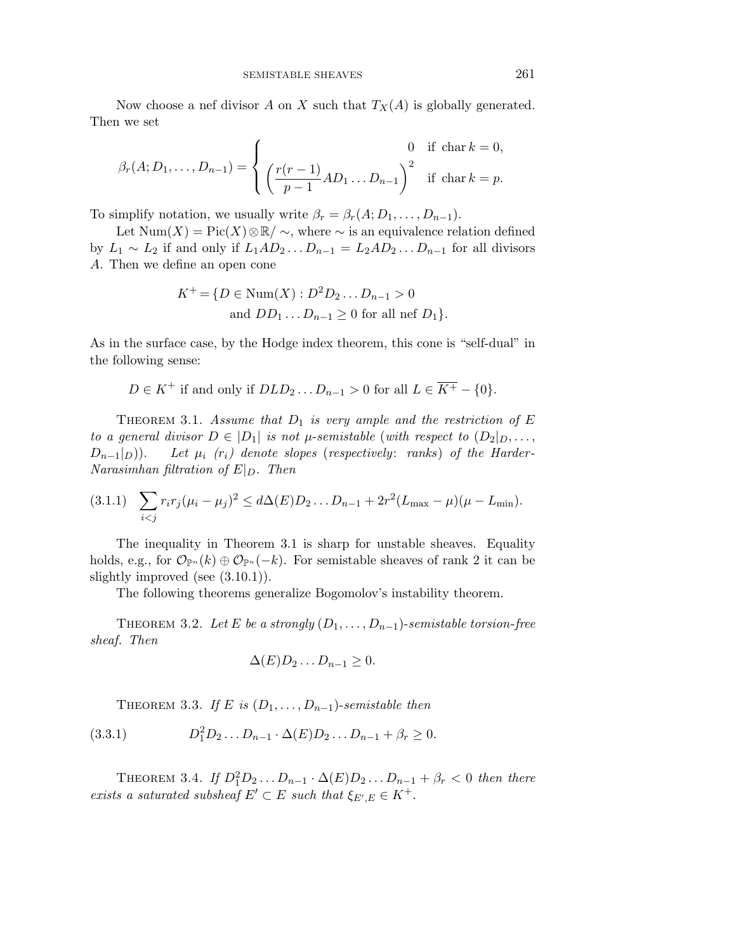Now choose a nef divisor *A* on *X* such that  $T_X(A)$  is globally generated. Then we set

$$
\beta_r(A; D_1, ..., D_{n-1}) = \begin{cases}\n0 & \text{if char } k = 0, \\
\left(\frac{r(r-1)}{p-1}AD_1...D_{n-1}\right)^2 & \text{if char } k = p.\n\end{cases}
$$

To simplify notation, we usually write  $\beta_r = \beta_r(A; D_1, \ldots, D_{n-1}).$ 

Let  $Num(X) = Pic(X) \otimes \mathbb{R}/ \sim$ , where  $\sim$  is an equivalence relation defined by  $L_1 \sim L_2$  if and only if  $L_1AD_2...D_{n-1} = L_2AD_2...D_{n-1}$  for all divisors *A*. Then we define an open cone

$$
K^{+} = \{ D \in Num(X) : D^{2}D_{2} \dots D_{n-1} > 0
$$
  
and  $DD_{1} \dots D_{n-1} \ge 0$  for all nef  $D_{1}$ .

As in the surface case, by the Hodge index theorem, this cone is "self-dual" in the following sense:

$$
D \in K^+ \text{ if and only if } DLD_2 \dots D_{n-1} > 0 \text{ for all } L \in \overline{K^+} - \{0\}.
$$

THEOREM 3.1. Assume that  $D_1$  is very ample and the restriction of  $E$ to a general divisor  $D \in |D_1|$  is not *µ*-semistable (with respect to  $(D_2|_D, \ldots,$  $D_{n-1}|_{D}$ ). Let  $\mu_i$  ( $r_i$ ) denote slopes (respectively: ranks) of the Harder-Narasimhan filtration of  $E|_D$ . Then

$$
(3.1.1) \quad \sum_{i < j} r_i r_j (\mu_i - \mu_j)^2 \leq d \Delta(E) D_2 \dots D_{n-1} + 2r^2 (L_{\max} - \mu) (\mu - L_{\min}).
$$

The inequality in Theorem 3.1 is sharp for unstable sheaves. Equality holds, e.g., for  $\mathcal{O}_{\mathbb{P}^n}(k) \oplus \mathcal{O}_{\mathbb{P}^n}(-k)$ . For semistable sheaves of rank 2 it can be slightly improved (see (3.10.1)).

The following theorems generalize Bogomolov's instability theorem.

THEOREM 3.2. Let *E* be a strongly  $(D_1, \ldots, D_{n-1})$ -semistable torsion-free sheaf. Then

$$
\Delta(E)D_2\ldots D_{n-1}\geq 0.
$$

THEOREM 3.3. If *E* is  $(D_1, \ldots, D_{n-1})$ -semistable then

(3.3.1) 
$$
D_1^2 D_2 \dots D_{n-1} \cdot \Delta(E) D_2 \dots D_{n-1} + \beta_r \ge 0.
$$

THEOREM 3.4. If  $D_1^2 D_2 ... D_{n-1} \cdot \Delta(E) D_2 ... D_{n-1} + \beta_r < 0$  then there exists a saturated subsheaf  $E' \subset E$  such that  $\xi_{E',E} \in K^+$ .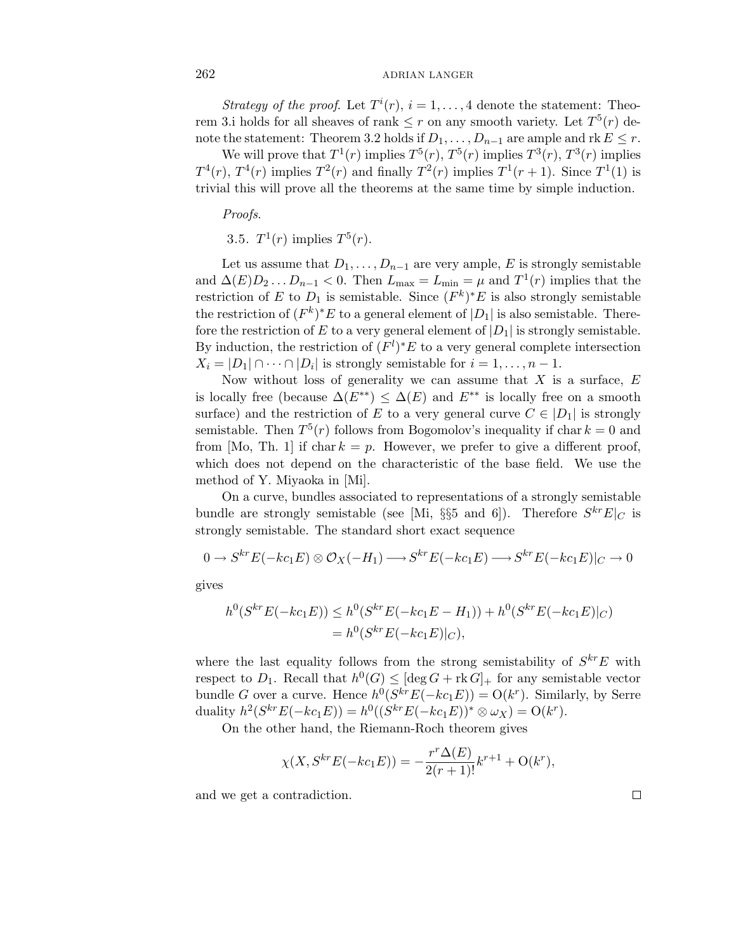Strategy of the proof. Let  $T^i(r)$ ,  $i = 1, \ldots, 4$  denote the statement: Theorem 3.i holds for all sheaves of rank  $\leq r$  on any smooth variety. Let  $T^5(r)$  denote the statement: Theorem 3.2 holds if  $D_1, \ldots, D_{n-1}$  are ample and rk  $E \leq r$ .

We will prove that  $T^1(r)$  implies  $T^5(r)$ ,  $T^5(r)$  implies  $T^3(r)$ ,  $T^3(r)$  implies  $T^4(r)$ ,  $T^4(r)$  implies  $T^2(r)$  and finally  $T^2(r)$  implies  $T^1(r+1)$ . Since  $T^1(1)$  is trivial this will prove all the theorems at the same time by simple induction.

Proofs.

3.5.  $T^1(r)$  implies  $T^5(r)$ .

Let us assume that  $D_1, \ldots, D_{n-1}$  are very ample, *E* is strongly semistable and  $\Delta(E)D_2 \ldots D_{n-1} < 0$ . Then  $L_{\text{max}} = L_{\text{min}} = \mu$  and  $T^1(r)$  implies that the restriction of *E* to  $D_1$  is semistable. Since  $(F^k)^*E$  is also strongly semistable the restriction of  $(F^k)^*E$  to a general element of  $|D_1|$  is also semistable. Therefore the restriction of  $E$  to a very general element of  $|D_1|$  is strongly semistable. By induction, the restriction of  $(F<sup>l</sup>)$ <sup>\*</sup> $E$  to a very general complete intersection  $X_i = |D_1| \cap \cdots \cap |D_i|$  is strongly semistable for  $i = 1, \ldots, n-1$ .

Now without loss of generality we can assume that *X* is a surface, *E* is locally free (because  $\Delta(E^{**}) \leq \Delta(E)$  and  $E^{**}$  is locally free on a smooth surface) and the restriction of *E* to a very general curve  $C \in |D_1|$  is strongly semistable. Then  $T^5(r)$  follows from Bogomolov's inequality if char  $k = 0$  and from [Mo, Th. 1] if char  $k = p$ . However, we prefer to give a different proof, which does not depend on the characteristic of the base field. We use the method of Y. Miyaoka in [Mi].

On a curve, bundles associated to representations of a strongly semistable bundle are strongly semistable (see [Mi, §§5 and 6]). Therefore  $S^{kr}E|_C$  is strongly semistable. The standard short exact sequence

$$
0 \to S^{kr}E(-kc_1E) \otimes \mathcal{O}_X(-H_1) \longrightarrow S^{kr}E(-kc_1E) \longrightarrow S^{kr}E(-kc_1E)|_C \longrightarrow 0
$$

gives

$$
h^{0}(S^{kr}E(-kc_{1}E)) \leq h^{0}(S^{kr}E(-kc_{1}E - H_{1})) + h^{0}(S^{kr}E(-kc_{1}E)|_{C})
$$
  
=  $h^{0}(S^{kr}E(-kc_{1}E)|_{C}),$ 

where the last equality follows from the strong semistability of  $S^{kr}E$  with respect to  $D_1$ . Recall that  $h^0(G) \leq [\deg G + \mathrm{rk}\, \widetilde{G}]_+$  for any semistable vector bundle *G* over a curve. Hence  $h^0(S^{kr}E(-kc_1E)) = O(k^r)$ . Similarly, by Serre  $duality \ h^2(S^{kr}E(-kc_1E)) = h^0((S^{kr}E(-kc_1E))^* \otimes \omega_X) = O(k^r).$ 

On the other hand, the Riemann-Roch theorem gives

$$
\chi(X, S^{kr}E(-kc_1E)) = -\frac{r^r \Delta(E)}{2(r+1)!}k^{r+1} + O(k^r),
$$

and we get a contradiction.

 $\Box$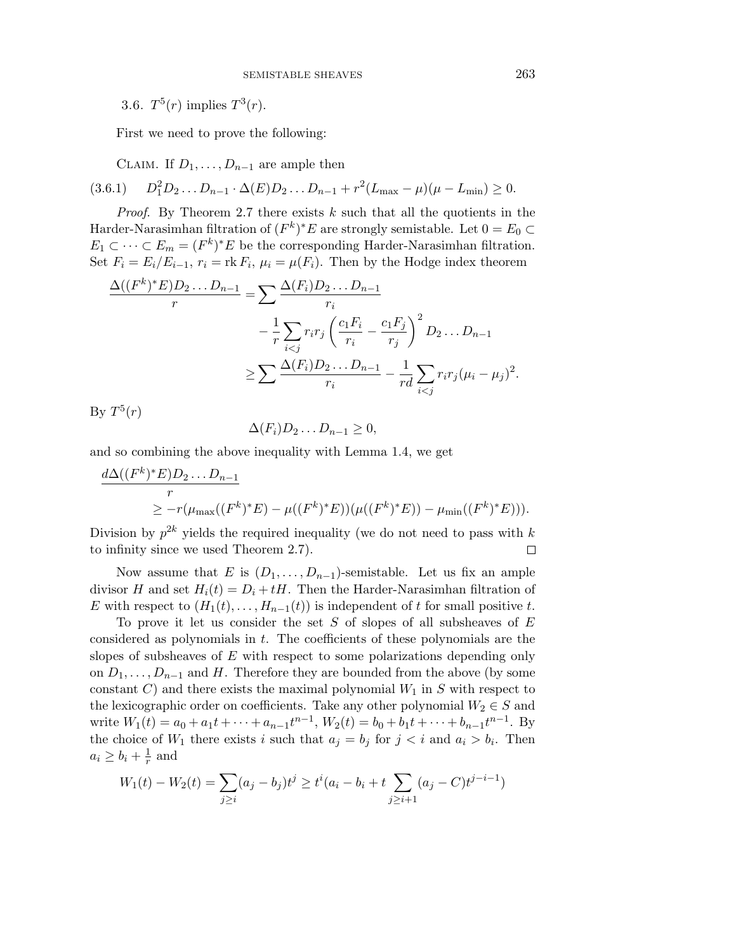3.6.  $T^5(r)$  implies  $T^3(r)$ .

First we need to prove the following:

CLAIM. If  $D_1, \ldots, D_{n-1}$  are ample then

 $(3.6.1)$  $D_1^2 D_2 \ldots D_{n-1} \cdot \Delta(E) D_2 \ldots D_{n-1} + r^2 (L_{\text{max}} - \mu) (\mu - L_{\text{min}}) \geq 0.$ 

*Proof.* By Theorem 2.7 there exists  $k$  such that all the quotients in the Harder-Narasimhan filtration of  $(F^k)^*E$  are strongly semistable. Let  $0 = E_0 \subset$  $E_1 \subset \cdots \subset E_m = (F^k)^* E$  be the corresponding Harder-Narasimhan filtration. Set  $F_i = E_i/E_{i-1}, r_i = \text{rk } F_i, \mu_i = \mu(F_i)$ . Then by the Hodge index theorem

$$
\frac{\Delta((F^k)^*E)D_2...D_{n-1}}{r} = \sum \frac{\Delta(F_i)D_2...D_{n-1}}{r_i} \n- \frac{1}{r} \sum_{i < j} r_i r_j \left(\frac{c_1 F_i}{r_i} - \frac{c_1 F_j}{r_j}\right)^2 D_2 ... D_{n-1} \n\ge \sum \frac{\Delta(F_i)D_2...D_{n-1}}{r_i} - \frac{1}{rd} \sum_{i < j} r_i r_j (\mu_i - \mu_j)^2.
$$

By  $T^5(r)$ 

$$
\Delta(F_i)D_2\ldots D_{n-1}\geq 0,
$$

and so combining the above inequality with Lemma 1.4, we get

$$
\frac{d\Delta((F^k)^*E)D_2...D_{n-1}}{r} \geq -r(\mu_{\max}((F^k)^*E) - \mu((F^k)^*E))(\mu((F^k)^*E)) - \mu_{\min}((F^k)^*E))).
$$

Division by  $p^{2k}$  yields the required inequality (we do not need to pass with k to infinity since we used Theorem 2.7).  $\Box$ 

Now assume that *E* is  $(D_1, \ldots, D_{n-1})$ -semistable. Let us fix an ample divisor *H* and set  $H_i(t) = D_i + tH$ . Then the Harder-Narasimhan filtration of *E* with respect to  $(H_1(t),...,H_{n-1}(t))$  is independent of *t* for small positive *t*.

To prove it let us consider the set *S* of slopes of all subsheaves of *E* considered as polynomials in *t*. The coefficients of these polynomials are the slopes of subsheaves of *E* with respect to some polarizations depending only on  $D_1, \ldots, D_{n-1}$  and *H*. Therefore they are bounded from the above (by some constant *C*) and there exists the maximal polynomial  $W_1$  in *S* with respect to the lexicographic order on coefficients. Take any other polynomial  $W_2 \in S$  and write  $W_1(t) = a_0 + a_1t + \dots + a_{n-1}t^{n-1}$ ,  $W_2(t) = b_0 + b_1t + \dots + b_{n-1}t^{n-1}$ . By the choice of  $W_1$  there exists *i* such that  $a_j = b_j$  for  $j < i$  and  $a_i > b_i$ . Then  $a_i \geq b_i + \frac{1}{r}$  and

$$
W_1(t) - W_2(t) = \sum_{j \ge i} (a_j - b_j)t^j \ge t^i (a_i - b_i + t \sum_{j \ge i+1} (a_j - C)t^{j-i-1})
$$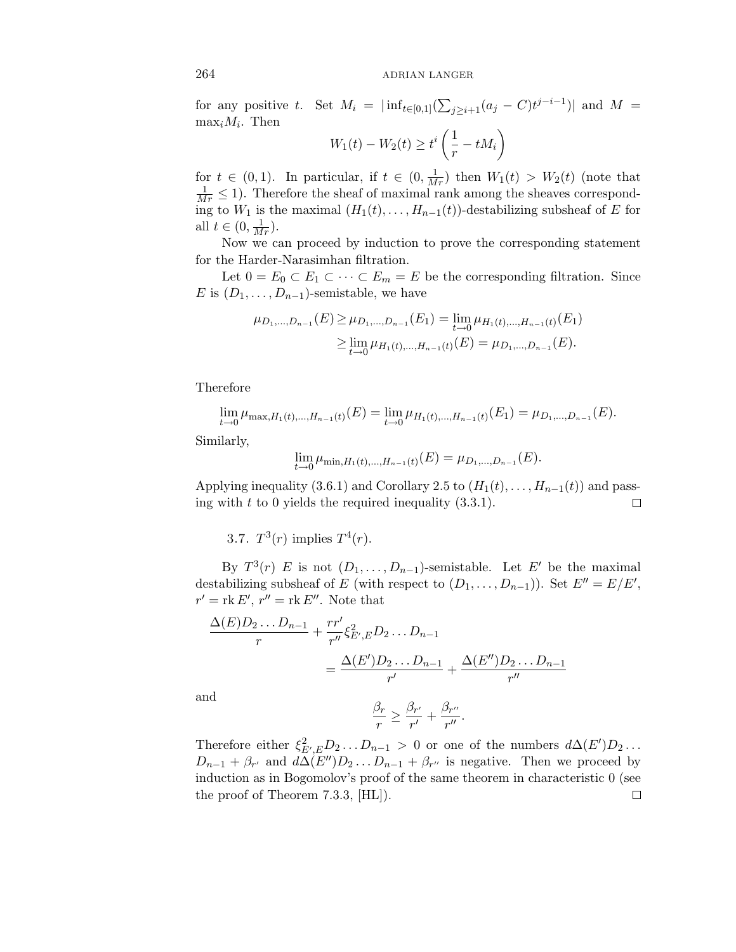for any positive *t*. Set  $M_i = |\inf_{t \in [0,1]} (\sum_{j \ge i+1} (a_j - C) t^{j-i-1})|$  and  $M =$  $\max_i M_i$ . Then

$$
W_1(t) - W_2(t) \ge t^i \left(\frac{1}{r} - tM_i\right)
$$

for  $t \in (0,1)$ . In particular, if  $t \in (0, \frac{1}{Mr})$  then  $W_1(t) > W_2(t)$  (note that  $\frac{1}{Mr} \leq 1$ . Therefore the sheaf of maximal rank among the sheaves corresponding to  $W_1$  is the maximal  $(H_1(t),...,H_{n-1}(t))$ -destabilizing subsheaf of *E* for all  $t \in (0, \frac{1}{Mr}).$ 

Now we can proceed by induction to prove the corresponding statement for the Harder-Narasimhan filtration.

Let  $0 = E_0 \subset E_1 \subset \cdots \subset E_m = E$  be the corresponding filtration. Since *E* is  $(D_1, \ldots, D_{n-1})$ -semistable, we have

$$
\mu_{D_1,\dots,D_{n-1}}(E) \ge \mu_{D_1,\dots,D_{n-1}}(E_1) = \lim_{t \to 0} \mu_{H_1(t),\dots,H_{n-1}(t)}(E_1)
$$
  

$$
\ge \lim_{t \to 0} \mu_{H_1(t),\dots,H_{n-1}(t)}(E) = \mu_{D_1,\dots,D_{n-1}}(E).
$$

Therefore

$$
\lim_{t \to 0} \mu_{\max, H_1(t), ..., H_{n-1}(t)}(E) = \lim_{t \to 0} \mu_{H_1(t), ..., H_{n-1}(t)}(E_1) = \mu_{D_1, ..., D_{n-1}}(E).
$$

Similarly,

$$
\lim_{t \to 0} \mu_{\min, H_1(t), ..., H_{n-1}(t)}(E) = \mu_{D_1, ..., D_{n-1}}(E).
$$

Applying inequality (3.6.1) and Corollary 2.5 to  $(H_1(t),...,H_{n-1}(t))$  and passing with  $t$  to 0 yields the required inequality (3.3.1). ing with *t* to 0 yields the required inequality (3.3.1).

3.7.  $T^3(r)$  implies  $T^4(r)$ .

By  $T^3(r)$  *E* is not  $(D_1, \ldots, D_{n-1})$ -semistable. Let *E'* be the maximal destabilizing subsheaf of *E* (with respect to  $(D_1, \ldots, D_{n-1})$ ). Set  $E'' = E/E'$ ,  $r' = \text{rk } E', r'' = \text{rk } E''.$  Note that

$$
\frac{\Delta(E)D_2 \dots D_{n-1}}{r} + \frac{rr'}{r''} \xi_{E',E}^2 D_2 \dots D_{n-1}
$$
  
= 
$$
\frac{\Delta(E')D_2 \dots D_{n-1}}{r'} + \frac{\Delta(E'')D_2 \dots D_{n-1}}{r''}
$$

and

$$
\frac{\beta_r}{r} \ge \frac{\beta_{r'}}{r'} + \frac{\beta_{r''}}{r''}.
$$

Therefore either  $\xi_{E',E}^2 D_2 \ldots D_{n-1} > 0$  or one of the numbers  $d\Delta(E')D_2 \ldots$  $D_{n-1} + \beta_{r'}$  and  $d\Delta(E'')D_2 \ldots D_{n-1} + \beta_{r''}$  is negative. Then we proceed by induction as in Bogomolov's proof of the same theorem in characteristic 0 (see the proof of Theorem 7.3.3, [HL]).口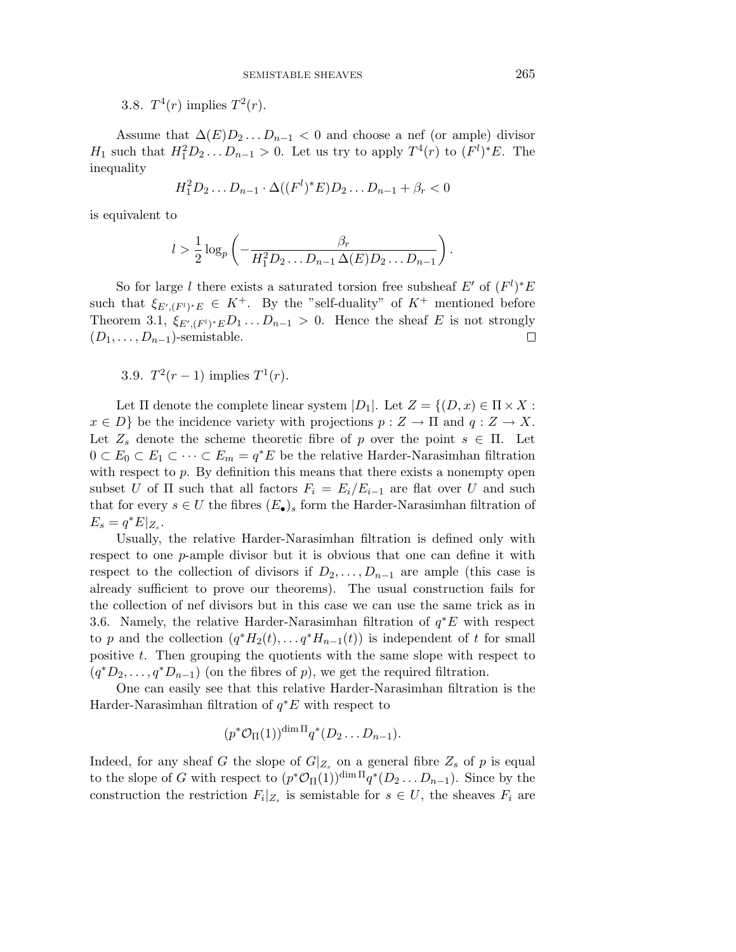3.8.  $T^4(r)$  implies  $T^2(r)$ .

Assume that  $\Delta(E)D_2 \ldots D_{n-1} < 0$  and choose a nef (or ample) divisor *H*<sub>1</sub> such that  $H_1^2 D_2 ... D_{n-1} > 0$ . Let us try to apply  $T^4(r)$  to  $(F^l)^* E$ . The inequality

$$
H_1^2 D_2 \dots D_{n-1} \cdot \Delta((F^l)^* E) D_2 \dots D_{n-1} + \beta_r < 0
$$

is equivalent to

$$
l > \frac{1}{2}\log_p\left(-\frac{\beta_r}{H_1^2D_2\ldots D_{n-1}\,\Delta(E)D_2\ldots D_{n-1}}\right).
$$

So for large *l* there exists a saturated torsion free subsheaf  $E'$  of  $(F<sup>l</sup>)$ <sup>\*</sup> $E$ such that  $\xi_{E', (F')^*E} \in K^+$ . By the "self-duality" of  $K^+$  mentioned before Theorem 3.1,  $\xi_{E', (F')^*E} D_1 \ldots D_{n-1} > 0$ . Hence the sheaf *E* is not strongly  $(D_1, \ldots, D_{n-1})$ -semistable.  $\Box$ 

3.9. 
$$
T^2(r-1)
$$
 implies  $T^1(r)$ .

Let  $\Pi$  denote the complete linear system  $|D_1|$ . Let  $Z = \{(D, x) \in \Pi \times X$ :  $x \in D$  be the incidence variety with projections  $p: Z \to \Pi$  and  $q: Z \to X$ . Let  $Z_s$  denote the scheme theoretic fibre of *p* over the point  $s \in \Pi$ . Let  $0 \subset E_0 \subset E_1 \subset \cdots \subset E_m = q^*E$  be the relative Harder-Narasimhan filtration with respect to p. By definition this means that there exists a nonempty open subset *U* of  $\Pi$  such that all factors  $F_i = E_i/E_{i-1}$  are flat over *U* and such that for every  $s \in U$  the fibres  $(E_{\bullet})_s$  form the Harder-Narasimhan filtration of  $E_s = q^* E|_{Z_s}.$ 

Usually, the relative Harder-Narasimhan filtration is defined only with respect to one *p*-ample divisor but it is obvious that one can define it with respect to the collection of divisors if  $D_2, \ldots, D_{n-1}$  are ample (this case is already sufficient to prove our theorems). The usual construction fails for the collection of nef divisors but in this case we can use the same trick as in 3.6. Namely, the relative Harder-Narasimhan filtration of *q*∗*E* with respect to *p* and the collection  $(q^*H_2(t), \ldots q^*H_{n-1}(t))$  is independent of *t* for small positive *t*. Then grouping the quotients with the same slope with respect to  $(q^*D_2,\ldots,q^*D_{n-1})$  (on the fibres of *p*), we get the required filtration.

One can easily see that this relative Harder-Narasimhan filtration is the Harder-Narasimhan filtration of *q*∗*E* with respect to

$$
(p^*\mathcal{O}_{\Pi}(1))^{\dim \Pi}q^*(D_2...D_{n-1}).
$$

Indeed, for any sheaf *G* the slope of  $G|_{Z_s}$  on a general fibre  $Z_s$  of *p* is equal to the slope of *G* with respect to  $(p^*\mathcal{O}_\Pi(1))^{dim \Pi}q^*(D_2...D_{n-1})$ . Since by the construction the restriction  $F_i|_{Z_s}$  is semistable for  $s \in U$ , the sheaves  $F_i$  are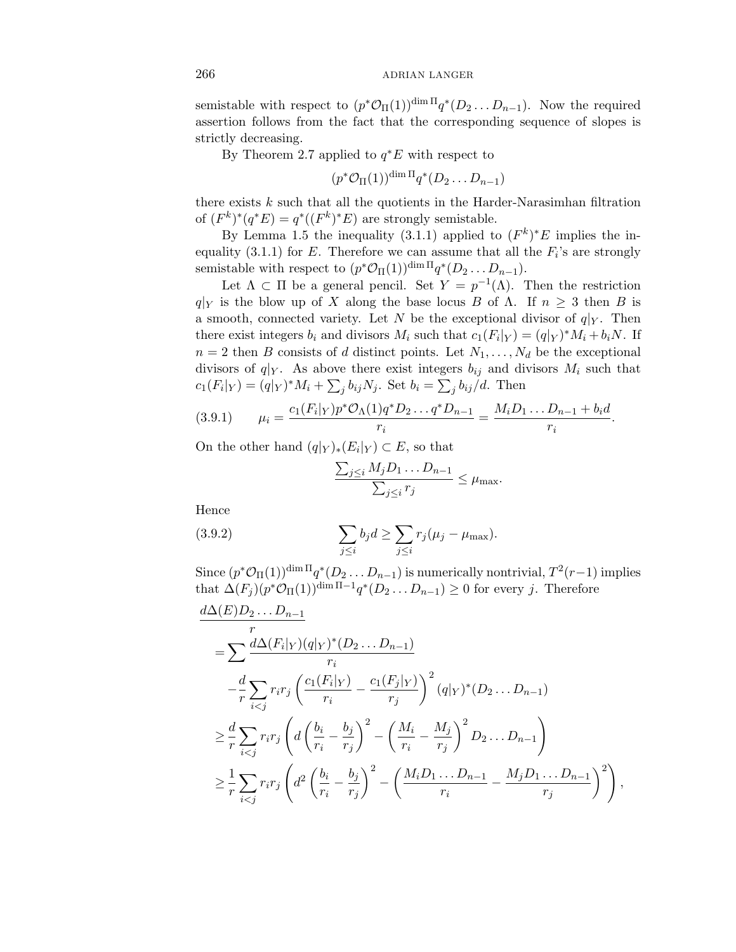semistable with respect to  $(p^* \mathcal{O}_\Pi(1))^{\dim \Pi} q^* (D_2 \dots D_{n-1})$ . Now the required assertion follows from the fact that the corresponding sequence of slopes is strictly decreasing.

By Theorem 2.7 applied to *q*∗*E* with respect to

$$
(p^*\mathcal{O}_{\Pi}(1))^{\dim \Pi}q^*(D_2...D_{n-1})
$$

there exists *k* such that all the quotients in the Harder-Narasimhan filtration of  $(F^k)^*(q^*E) = q^*((F^k)^*E)$  are strongly semistable.

By Lemma 1.5 the inequality (3.1.1) applied to  $(F^k)^*E$  implies the inequality (3.1.1) for  $E$ . Therefore we can assume that all the  $F_i$ 's are strongly semistable with respect to  $(p^* \mathcal{O}_{\Pi}(1))^{\dim \Pi} q^*(D_2 \dots D_{n-1}).$ 

Let  $\Lambda \subset \Pi$  be a general pencil. Set  $Y = p^{-1}(\Lambda)$ . Then the restriction *q*|<sub>Y</sub> is the blow up of *X* along the base locus *B* of *Λ*. If  $n \geq 3$  then *B* is a smooth, connected variety. Let *N* be the exceptional divisor of  $q|_Y$ . Then there exist integers  $b_i$  and divisors  $M_i$  such that  $c_1(F_i|_Y) = (q|_Y)^* M_i + b_i N$ . If  $n = 2$  then *B* consists of *d* distinct points. Let  $N_1, \ldots, N_d$  be the exceptional divisors of  $q|_Y$ . As above there exist integers  $b_{ij}$  and divisors  $M_i$  such that  $c_1(F_i|_Y) = (q|_Y)^* M_i + \sum_j b_{ij} N_j$ . Set  $b_i = \sum_j b_{ij}/d$ . Then

$$
(3.9.1) \qquad \mu_i = \frac{c_1(F_i|_Y)p^* \mathcal{O}_{\Lambda}(1)q^* D_2 \dots q^* D_{n-1}}{r_i} = \frac{M_i D_1 \dots D_{n-1} + b_i d}{r_i}.
$$

On the other hand  $(q|Y)_*(E_i|Y) \subset E$ , so that

$$
\frac{\sum_{j\leq i} M_j D_1 \dots D_{n-1}}{\sum_{j\leq i} r_j} \leq \mu_{\text{max}}.
$$

Hence

(3.9.2) 
$$
\sum_{j\leq i} b_j d \geq \sum_{j\leq i} r_j (\mu_j - \mu_{\max}).
$$

Since  $(p^* \mathcal{O}_\Pi(1))^{\dim \Pi} q^*(D_2 \dots D_{n-1})$  is numerically nontrivial,  $T^2(r-1)$  implies that  $\Delta(F_i)(p^*\mathcal{O}_{\Pi}(1))^{\dim \Pi-1}q^*(D_2...D_{n-1}) \geq 0$  for every *j*. Therefore

$$
\frac{d\Delta(E)D_2...D_{n-1}}{r} \n= \sum \frac{d\Delta(F_i|_Y)(q|_Y)^*(D_2...D_{n-1})}{r_i} \n- \frac{d}{r} \sum_{i < j} r_i r_j \left( \frac{c_1(F_i|_Y)}{r_i} - \frac{c_1(F_j|_Y)}{r_j} \right)^2 (q|_Y)^*(D_2...D_{n-1}) \n\geq \frac{d}{r} \sum_{i < j} r_i r_j \left( d \left( \frac{b_i}{r_i} - \frac{b_j}{r_j} \right)^2 - \left( \frac{M_i}{r_i} - \frac{M_j}{r_j} \right)^2 D_2 ... D_{n-1} \right) \n\geq \frac{1}{r} \sum_{i < j} r_i r_j \left( d^2 \left( \frac{b_i}{r_i} - \frac{b_j}{r_j} \right)^2 - \left( \frac{M_i D_1 ... D_{n-1}}{r_i} - \frac{M_j D_1 ... D_{n-1}}{r_j} \right)^2 \right),
$$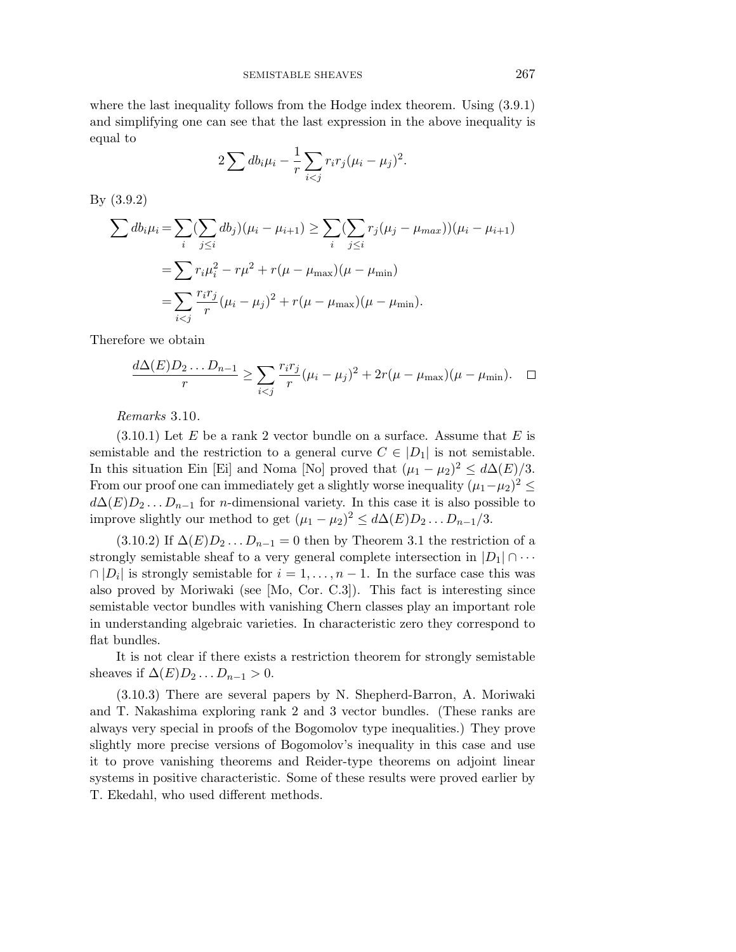where the last inequality follows from the Hodge index theorem. Using (3*.*9*.*1) and simplifying one can see that the last expression in the above inequality is equal to

$$
2\sum db_i\mu_i - \frac{1}{r}\sum_{i
$$

By (3.9.2)

$$
\sum db_i \mu_i = \sum_i (\sum_{j \le i} db_j)(\mu_i - \mu_{i+1}) \ge \sum_i (\sum_{j \le i} r_j(\mu_j - \mu_{max}))(\mu_i - \mu_{i+1})
$$
  
=  $\sum r_i \mu_i^2 - r\mu^2 + r(\mu - \mu_{max})(\mu - \mu_{min})$   
=  $\sum_{i < j} \frac{r_i r_j}{r} (\mu_i - \mu_j)^2 + r(\mu - \mu_{max})(\mu - \mu_{min}).$ 

Therefore we obtain

$$
\frac{d\Delta(E)D_2...D_{n-1}}{r} \ge \sum_{i < j} \frac{r_i r_j}{r} (\mu_i - \mu_j)^2 + 2r(\mu - \mu_{\text{max}})(\mu - \mu_{\text{min}}). \quad \Box
$$

Remarks 3.10.

(3.10.1) Let *E* be a rank 2 vector bundle on a surface. Assume that *E* is semistable and the restriction to a general curve  $C \in |D_1|$  is not semistable. In this situation Ein [Ei] and Noma [No] proved that  $(\mu_1 - \mu_2)^2 \leq d\Delta(E)/3$ . From our proof one can immediately get a slightly worse inequality  $(\mu_1-\mu_2)^2 \leq$  $d\Delta(E)D_2...D_{n-1}$  for *n*-dimensional variety. In this case it is also possible to improve slightly our method to get  $(\mu_1 - \mu_2)^2 \leq d\Delta(E)D_2 \dots D_{n-1}/3$ .

 $(3.10.2)$  If  $\Delta(E)D_2...D_{n-1}=0$  then by Theorem 3.1 the restriction of a strongly semistable sheaf to a very general complete intersection in  $|D_1| \cap \cdots$  $\cap$  |*D<sub>i</sub>*| is strongly semistable for  $i = 1, ..., n - 1$ . In the surface case this was also proved by Moriwaki (see [Mo, Cor. C.3]). This fact is interesting since semistable vector bundles with vanishing Chern classes play an important role in understanding algebraic varieties. In characteristic zero they correspond to flat bundles.

It is not clear if there exists a restriction theorem for strongly semistable sheaves if  $\Delta(E)D_2 \ldots D_{n-1} > 0$ .

(3.10.3) There are several papers by N. Shepherd-Barron, A. Moriwaki and T. Nakashima exploring rank 2 and 3 vector bundles. (These ranks are always very special in proofs of the Bogomolov type inequalities.) They prove slightly more precise versions of Bogomolov's inequality in this case and use it to prove vanishing theorems and Reider-type theorems on adjoint linear systems in positive characteristic. Some of these results were proved earlier by T. Ekedahl, who used different methods.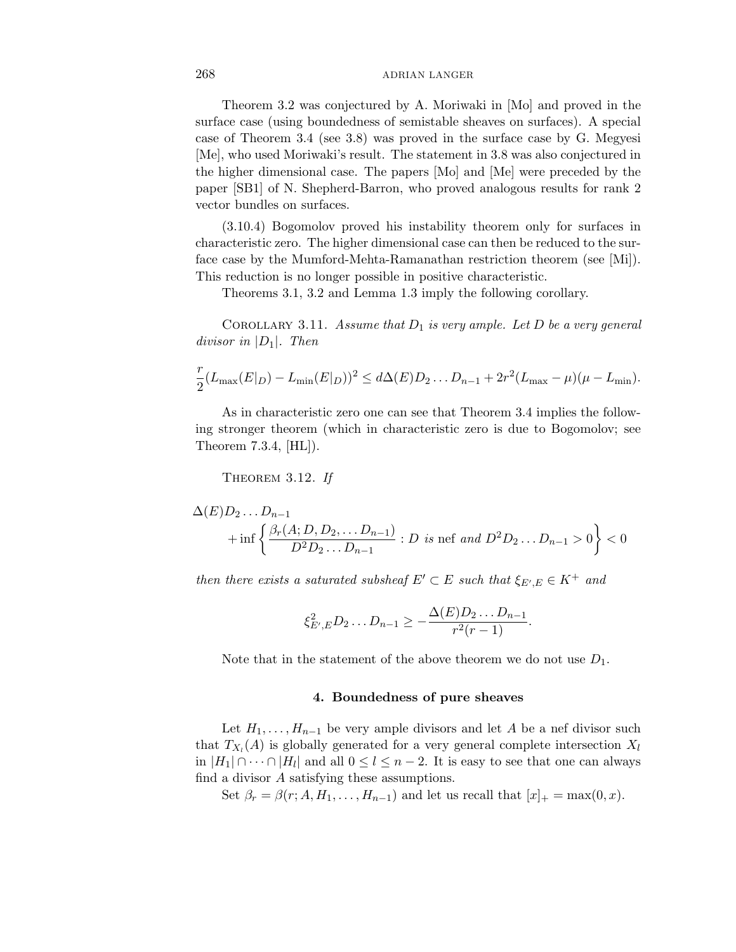Theorem 3.2 was conjectured by A. Moriwaki in [Mo] and proved in the surface case (using boundedness of semistable sheaves on surfaces). A special case of Theorem 3.4 (see 3.8) was proved in the surface case by G. Megyesi [Me], who used Moriwaki's result. The statement in 3.8 was also conjectured in the higher dimensional case. The papers [Mo] and [Me] were preceded by the paper [SB1] of N. Shepherd-Barron, who proved analogous results for rank 2 vector bundles on surfaces.

(3.10.4) Bogomolov proved his instability theorem only for surfaces in characteristic zero. The higher dimensional case can then be reduced to the surface case by the Mumford-Mehta-Ramanathan restriction theorem (see [Mi]). This reduction is no longer possible in positive characteristic.

Theorems 3.1, 3.2 and Lemma 1.3 imply the following corollary.

COROLLARY 3.11. Assume that  $D_1$  is very ample. Let  $D$  be a very general divisor in |*D*1|. Then

$$
\frac{r}{2}(L_{\max}(E|_D) - L_{\min}(E|_D))^2 \leq d\Delta(E)D_2...D_{n-1} + 2r^2(L_{\max} - \mu)(\mu - L_{\min}).
$$

As in characteristic zero one can see that Theorem 3.4 implies the following stronger theorem (which in characteristic zero is due to Bogomolov; see Theorem 7.3.4, [HL]).

THEOREM  $3.12.$  If

$$
\Delta(E)D_2 \dots D_{n-1}
$$
  
+ inf  $\left\{ \frac{\beta_r(A; D, D_2, \dots D_{n-1})}{D^2 D_2 \dots D_{n-1}} : D \text{ is nef and } D^2 D_2 \dots D_{n-1} > 0 \right\} < 0$ 

then there exists a saturated subsheaf  $E' \subset E$  such that  $\xi_{E',E} \in K^+$  and

$$
\xi_{E',E}^2 D_2 \dots D_{n-1} \geq -\frac{\Delta(E)D_2 \dots D_{n-1}}{r^2(r-1)}.
$$

Note that in the statement of the above theorem we do not use  $D_1$ .

#### **4. Boundedness of pure sheaves**

Let  $H_1, \ldots, H_{n-1}$  be very ample divisors and let *A* be a nef divisor such that  $T_{X_l}(A)$  is globally generated for a very general complete intersection  $X_l$ in  $|H_1| \cap \cdots \cap |H_l|$  and all  $0 \le l \le n-2$ . It is easy to see that one can always find a divisor *A* satisfying these assumptions.

Set  $\beta_r = \beta(r; A, H_1, \ldots, H_{n-1})$  and let us recall that  $[x]_+ = \max(0, x)$ .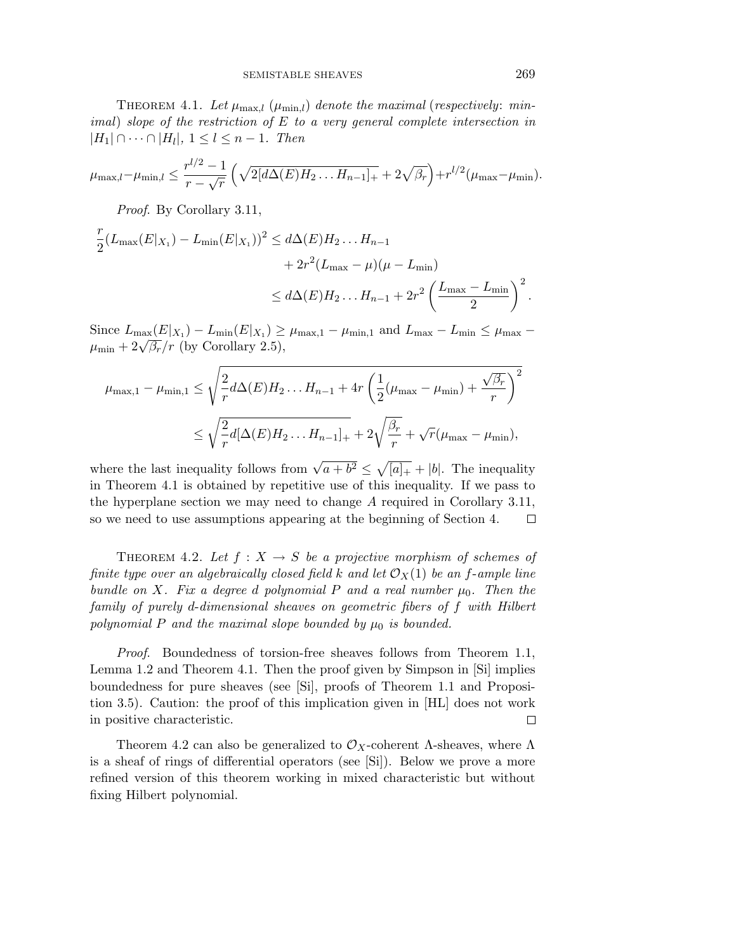THEOREM 4.1. Let  $\mu_{\max,l}$  ( $\mu_{\min,l}$ ) denote the maximal (respectively: minimal) slope of the restriction of *E* to a very general complete intersection in  $|H_1| \cap \cdots \cap |H_l|, 1 \leq l \leq n-1.$  Then

$$
\mu_{\max,l} - \mu_{\min,l} \le \frac{r^{l/2} - 1}{r - \sqrt{r}} \left( \sqrt{2[d\Delta(E)H_2\ldots H_{n-1}]_+} + 2\sqrt{\beta_r} \right) + r^{l/2}(\mu_{\max} - \mu_{\min}).
$$

Proof. By Corollary 3.11,

$$
\frac{r}{2}(L_{\max}(E|_{X_1}) - L_{\min}(E|_{X_1}))^2 \le d\Delta(E)H_2...H_{n-1} \n+ 2r^2(L_{\max} - \mu)(\mu - L_{\min}) \n\le d\Delta(E)H_2...H_{n-1} + 2r^2\left(\frac{L_{\max} - L_{\min}}{2}\right)^2.
$$

Since  $L_{\text{max}}(E|X_1) - L_{\text{min}}(E|X_1) \geq \mu_{\text{max},1} - \mu_{\text{min},1}$  and  $L_{\text{max}} - L_{\text{min}} \leq \mu_{\text{max}} \mu_{\min} + 2\sqrt{\beta_r}/r$  (by Corollary 2.5),

$$
\mu_{\max,1} - \mu_{\min,1} \le \sqrt{\frac{2}{r} d\Delta(E) H_2 \dots H_{n-1} + 4r \left(\frac{1}{2}(\mu_{\max} - \mu_{\min}) + \frac{\sqrt{\beta_r}}{r}\right)^2}
$$
  

$$
\le \sqrt{\frac{2}{r} d[\Delta(E) H_2 \dots H_{n-1}]_+} + 2\sqrt{\frac{\beta_r}{r}} + \sqrt{r}(\mu_{\max} - \mu_{\min}),
$$

where the last inequality follows from  $\sqrt{a+b^2} \leq \sqrt{[a]_+} + |b|$ . The inequality in Theorem 4.1 is obtained by repetitive use of this inequality. If we pass to the hyperplane section we may need to change *A* required in Corollary 3.11, so we need to use assumptions appearing at the beginning of Section 4.  $\Box$ 

THEOREM 4.2. Let  $f: X \to S$  be a projective morphism of schemes of finite type over an algebraically closed field k and let  $\mathcal{O}_X(1)$  be an *f*-ample line bundle on *X*. Fix a degree *d* polynomial P and a real number  $\mu_0$ . Then the family of purely *d*-dimensional sheaves on geometric fibers of *f* with Hilbert polynomial  $P$  and the maximal slope bounded by  $\mu_0$  is bounded.

*Proof.* Boundedness of torsion-free sheaves follows from Theorem 1.1, Lemma 1.2 and Theorem 4.1. Then the proof given by Simpson in [Si] implies boundedness for pure sheaves (see [Si], proofs of Theorem 1.1 and Proposition 3.5). Caution: the proof of this implication given in [HL] does not work in positive characteristic.  $\Box$ 

Theorem 4.2 can also be generalized to  $\mathcal{O}_X$ -coherent  $\Lambda$ -sheaves, where  $\Lambda$ is a sheaf of rings of differential operators (see [Si]). Below we prove a more refined version of this theorem working in mixed characteristic but without fixing Hilbert polynomial.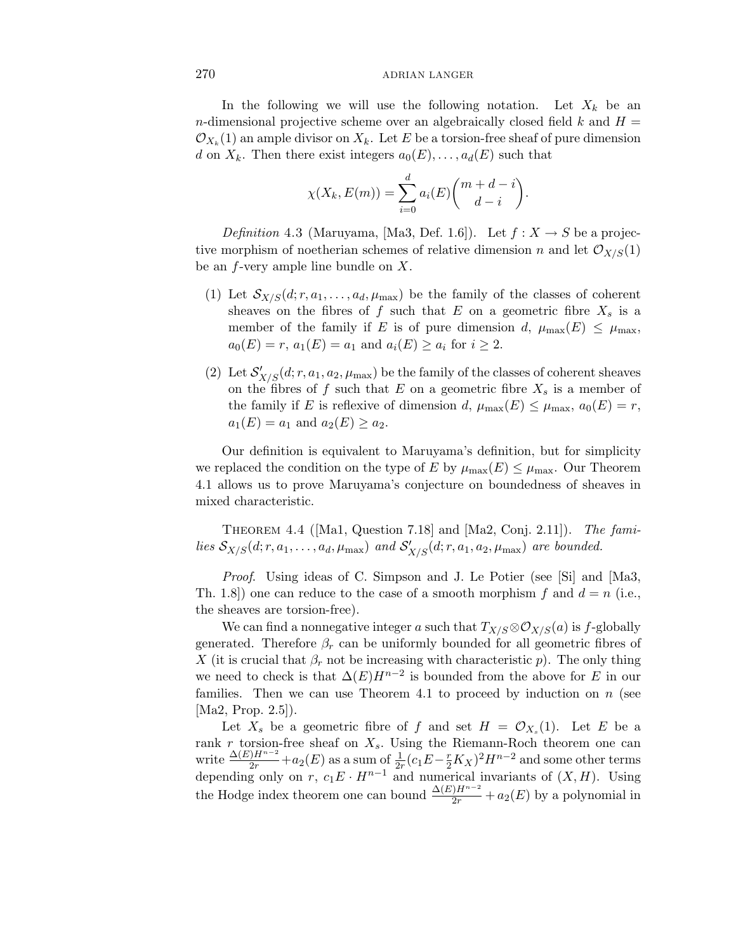In the following we will use the following notation. Let  $X_k$  be an *n*-dimensional projective scheme over an algebraically closed field  $k$  and  $H =$  $\mathcal{O}_{X_k}(1)$  an ample divisor on  $X_k$ . Let E be a torsion-free sheaf of pure dimension *d* on  $X_k$ . Then there exist integers  $a_0(E), \ldots, a_d(E)$  such that

$$
\chi(X_k, E(m)) = \sum_{i=0}^d a_i(E) \binom{m+d-i}{d-i}
$$

*.*

Definition 4.3 (Maruyama, [Ma3, Def. 1.6]). Let  $f: X \to S$  be a projective morphism of noetherian schemes of relative dimension *n* and let  $\mathcal{O}_{X/S}(1)$ be an *f*-very ample line bundle on *X*.

- (1) Let  $S_{X/S}(d;r,a_1,\ldots,a_d,\mu_{\max})$  be the family of the classes of coherent sheaves on the fibres of  $f$  such that  $E$  on a geometric fibre  $X_s$  is a member of the family if *E* is of pure dimension *d*,  $\mu_{\max}(E) \leq \mu_{\max}$ ,  $a_0(E) = r$ ,  $a_1(E) = a_1$  and  $a_i(E) \ge a_i$  for  $i \ge 2$ .
- (2) Let  $S'_{X/S}(d; r, a_1, a_2, \mu_{\text{max}})$  be the family of the classes of coherent sheaves on the fibres of  $f$  such that  $E$  on a geometric fibre  $X_s$  is a member of the family if *E* is reflexive of dimension *d*,  $\mu_{\max}(E) \leq \mu_{\max}$ ,  $a_0(E) = r$ ,  $a_1(E) = a_1$  and  $a_2(E) \ge a_2$ .

Our definition is equivalent to Maruyama's definition, but for simplicity we replaced the condition on the type of *E* by  $\mu_{\max}(E) \leq \mu_{\max}$ . Our Theorem 4.1 allows us to prove Maruyama's conjecture on boundedness of sheaves in mixed characteristic.

THEOREM 4.4 ([Ma1, Question 7.18] and [Ma2, Conj. 2.11]). The families  $\mathcal{S}_{X/S}(d;r,a_1,\ldots,a_d,\mu_{\text{max}})$  and  $\mathcal{S}'_{X/S}(d;r,a_1,a_2,\mu_{\text{max}})$  are bounded.

Proof. Using ideas of C. Simpson and J. Le Potier (see [Si] and [Ma3, Th. 1.8]) one can reduce to the case of a smooth morphism  $f$  and  $d = n$  (i.e., the sheaves are torsion-free).

We can find a nonnegative integer *a* such that  $T_{X/S} \otimes \mathcal{O}_{X/S}(a)$  is *f*-globally generated. Therefore  $\beta_r$  can be uniformly bounded for all geometric fibres of *X* (it is crucial that  $\beta_r$  not be increasing with characteristic *p*). The only thing we need to check is that  $\Delta(E)H^{n-2}$  is bounded from the above for *E* in our families. Then we can use Theorem 4.1 to proceed by induction on *n* (see [Ma2, Prop. 2.5]).

Let  $X_s$  be a geometric fibre of f and set  $H = \mathcal{O}_{X_s}(1)$ . Let E be a rank  $r$  torsion-free sheaf on  $X_s$ . Using the Riemann-Roch theorem one can write  $\frac{\Delta(E)H^{n-2}}{2r}$  + *a*<sub>2</sub>(*E*) as a sum of  $\frac{1}{2r}(c_1E - \frac{r}{2}K_X)^2H^{n-2}$  and some other terms depending only on  $r$ ,  $c_1E \cdot H^{n-1}$  and numerical invariants of  $(X, H)$ . Using the Hodge index theorem one can bound  $\frac{\Delta(E)H^{n-2}}{2r} + a_2(E)$  by a polynomial in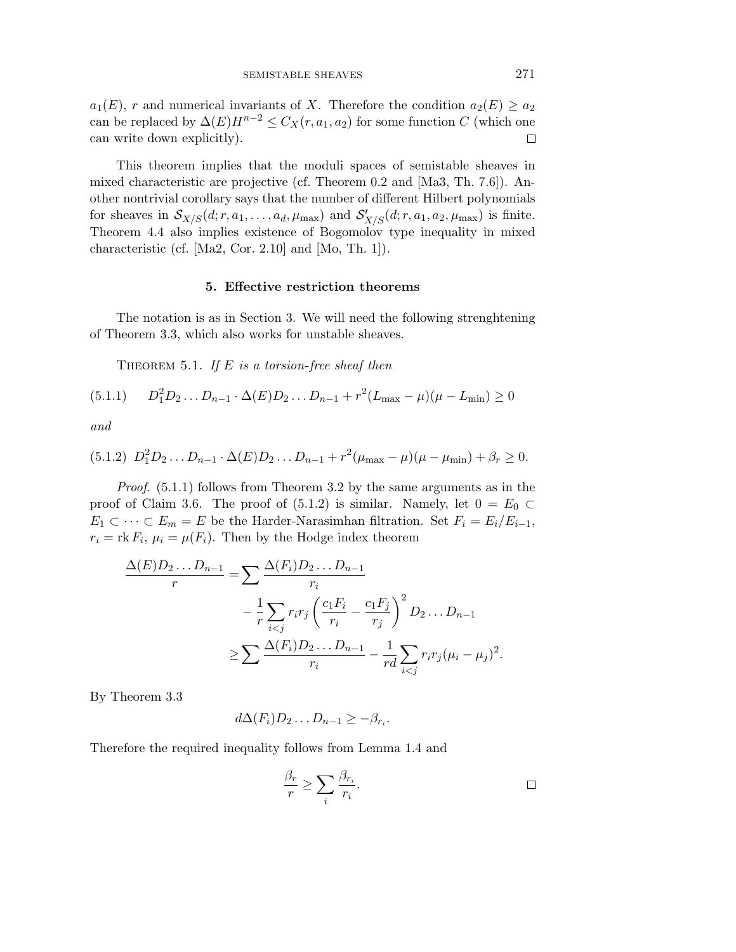$a_1(E)$ , *r* and numerical invariants of *X*. Therefore the condition  $a_2(E) \ge a_2$ can be replaced by  $\Delta(E)H^{n-2} \leq C_X(r, a_1, a_2)$  for some function *C* (which one can write down explicitly).  $\Box$ 

This theorem implies that the moduli spaces of semistable sheaves in mixed characteristic are projective (cf. Theorem 0.2 and [Ma3, Th. 7.6]). Another nontrivial corollary says that the number of different Hilbert polynomials for sheaves in  $\mathcal{S}_{X/S}(d;r,a_1,\ldots,a_d,\mu_{\max})$  and  $\mathcal{S}'_{X/S}(d;r,a_1,a_2,\mu_{\max})$  is finite. Theorem 4.4 also implies existence of Bogomolov type inequality in mixed characteristic (cf. [Ma2, Cor. 2.10] and [Mo, Th. 1]).

#### **5. Effective restriction theorems**

The notation is as in Section 3. We will need the following strenghtening of Theorem 3.3, which also works for unstable sheaves.

THEOREM 5.1. If  $E$  is a torsion-free sheaf then

$$
(5.1.1) \qquad D_1^2 D_2 \dots D_{n-1} \cdot \Delta(E) D_2 \dots D_{n-1} + r^2 (L_{\text{max}} - \mu)(\mu - L_{\text{min}}) \ge 0
$$

and

$$
(5.1.2) D_1^2 D_2 \dots D_{n-1} \cdot \Delta(E) D_2 \dots D_{n-1} + r^2 (\mu_{\max} - \mu) (\mu - \mu_{\min}) + \beta_r \ge 0.
$$

Proof. (5.1.1) follows from Theorem 3.2 by the same arguments as in the proof of Claim 3.6. The proof of  $(5.1.2)$  is similar. Namely, let  $0 = E_0 \subset$ *E*<sub>1</sub> ⊂ ··· ⊂ *E*<sub>m</sub> = *E* be the Harder-Narasimhan filtration. Set  $F_i = E_i/E_{i-1}$ ,  $r_i = \text{rk } F_i$ ,  $\mu_i = \mu(F_i)$ . Then by the Hodge index theorem

$$
\frac{\Delta(E)D_2 \dots D_{n-1}}{r} = \sum \frac{\Delta(F_i)D_2 \dots D_{n-1}}{r_i} \n- \frac{1}{r} \sum_{i < j} r_i r_j \left( \frac{c_1 F_i}{r_i} - \frac{c_1 F_j}{r_j} \right)^2 D_2 \dots D_{n-1} \n\ge \sum \frac{\Delta(F_i)D_2 \dots D_{n-1}}{r_i} - \frac{1}{rd} \sum_{i < j} r_i r_j (\mu_i - \mu_j)^2.
$$

By Theorem 3.3

$$
d\Delta(F_i)D_2\ldots D_{n-1}\geq -\beta_{r_i}.
$$

Therefore the required inequality follows from Lemma 1.4 and

$$
\frac{\beta_r}{r} \ge \sum_i \frac{\beta_{r_i}}{r_i}.
$$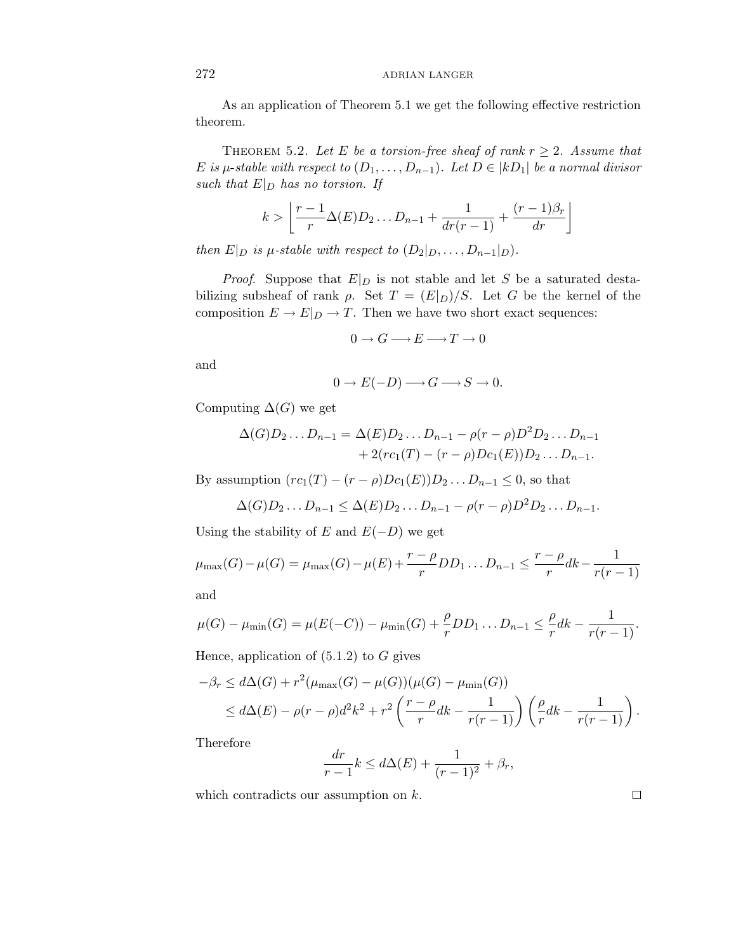As an application of Theorem 5.1 we get the following effective restriction theorem.

THEOREM 5.2. Let *E* be a torsion-free sheaf of rank  $r \geq 2$ . Assume that *E* is *µ*-stable with respect to  $(D_1, \ldots, D_{n-1})$ . Let  $D \in |kD_1|$  be a normal divisor such that  $E|_D$  has no torsion. If

$$
k > \left\lfloor \frac{r-1}{r} \Delta(E) D_2 \ldots D_{n-1} + \frac{1}{dr(r-1)} + \frac{(r-1)\beta_r}{dr} \right\rfloor
$$

then  $E|_D$  is  $\mu$ -stable with respect to  $(D_2|_D, \ldots, D_{n-1}|_D)$ .

*Proof.* Suppose that  $E|_D$  is not stable and let S be a saturated destabilizing subsheaf of rank  $\rho$ . Set  $T = (E|_D)/S$ . Let *G* be the kernel of the composition  $E \to E|_{D} \to T$ . Then we have two short exact sequences:

$$
0 \to G \longrightarrow E \longrightarrow T \to 0
$$

and

$$
0 \to E(-D) \longrightarrow G \longrightarrow S \to 0.
$$

Computing  $\Delta(G)$  we get

$$
\Delta(G)D_2...D_{n-1} = \Delta(E)D_2...D_{n-1} - \rho(r-\rho)D^2D_2...D_{n-1} + 2(rc_1(T) - (r-\rho)Dc_1(E))D_2...D_{n-1}.
$$

By assumption  $(r c_1(T) - (r - \rho) D c_1(E)) D_2 ... D_{n-1} \leq 0$ , so that

$$
\Delta(G)D_2\ldots D_{n-1}\leq \Delta(E)D_2\ldots D_{n-1}-\rho(r-\rho)D^2D_2\ldots D_{n-1}.
$$

Using the stability of *E* and  $E(-D)$  we get

$$
\mu_{\max}(G) - \mu(G) = \mu_{\max}(G) - \mu(E) + \frac{r - \rho}{r} DD_1 \dots D_{n-1} \le \frac{r - \rho}{r} dk - \frac{1}{r(r-1)}
$$

and

$$
\mu(G) - \mu_{\min}(G) = \mu(E(-C)) - \mu_{\min}(G) + \frac{\rho}{r}DD_1 \dots D_{n-1} \leq \frac{\rho}{r}dk - \frac{1}{r(r-1)}.
$$

Hence, application of (5.1.2) to *G* gives

$$
-\beta_r \le d\Delta(G) + r^2(\mu_{\max}(G) - \mu(G))(\mu(G) - \mu_{\min}(G))
$$
  
 
$$
\le d\Delta(E) - \rho(r - \rho)d^2k^2 + r^2\left(\frac{r - \rho}{r}dk - \frac{1}{r(r - 1)}\right)\left(\frac{\rho}{r}dk - \frac{1}{r(r - 1)}\right).
$$

Therefore

$$
\frac{dr}{r-1}k \le d\Delta(E) + \frac{1}{(r-1)^2} + \beta_r,
$$

which contradicts our assumption on *k*.

 $\Box$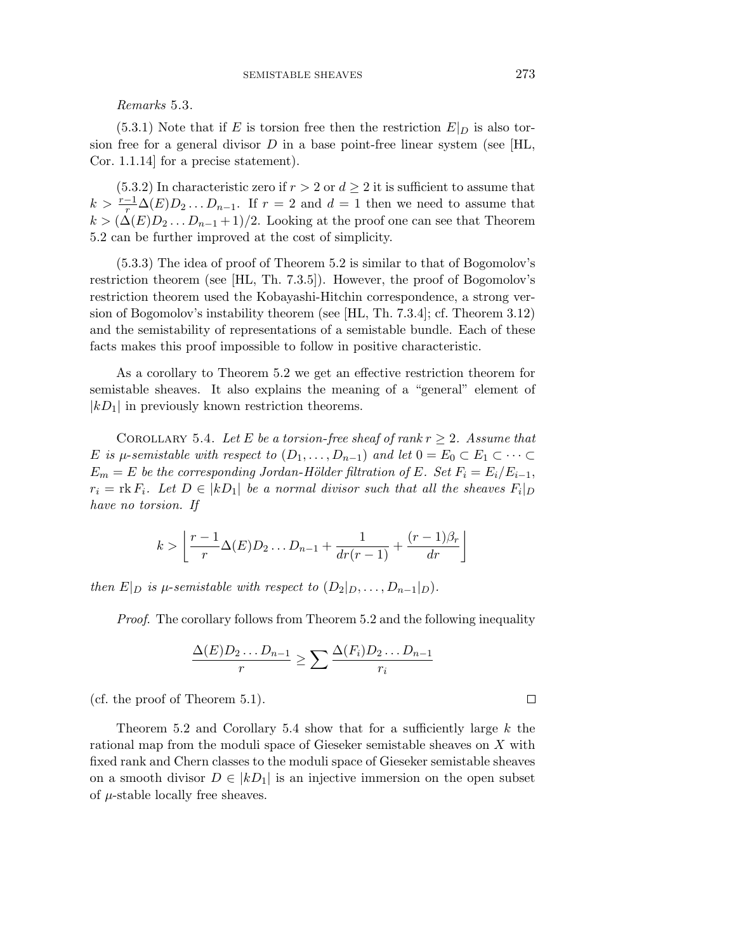Remarks 5.3.

 $(5.3.1)$  Note that if *E* is torsion free then the restriction  $E|_D$  is also torsion free for a general divisor  $D$  in a base point-free linear system (see [HL, Cor. 1.1.14] for a precise statement).

 $(5.3.2)$  In characteristic zero if  $r > 2$  or  $d \geq 2$  it is sufficient to assume that  $k > \frac{r-1}{r}\Delta(E)D_2...D_{n-1}$ . If  $r = 2$  and  $d = 1$  then we need to assume that  $k > (\Delta(E)D_2 \dots D_{n-1} + 1)/2$ . Looking at the proof one can see that Theorem 5.2 can be further improved at the cost of simplicity.

(5.3.3) The idea of proof of Theorem 5.2 is similar to that of Bogomolov's restriction theorem (see [HL, Th. 7.3.5]). However, the proof of Bogomolov's restriction theorem used the Kobayashi-Hitchin correspondence, a strong version of Bogomolov's instability theorem (see [HL, Th. 7.3.4]; cf. Theorem 3.12) and the semistability of representations of a semistable bundle. Each of these facts makes this proof impossible to follow in positive characteristic.

As a corollary to Theorem 5.2 we get an effective restriction theorem for semistable sheaves. It also explains the meaning of a "general" element of  $|kD_1|$  in previously known restriction theorems.

COROLLARY 5.4. Let *E* be a torsion-free sheaf of rank  $r \geq 2$ . Assume that *E* is *µ*-semistable with respect to  $(D_1, \ldots, D_{n-1})$  and let  $0 = E_0 \subset E_1 \subset \cdots \subset$  $E_m = E$  be the corresponding Jordan-Hölder filtration of  $E$ . Set  $F_i = E_i/E_{i-1}$ ,  $r_i = \text{rk } F_i$ . Let  $D \in |kD_1|$  be a normal divisor such that all the sheaves  $F_i|_{D}$ have no torsion. If

$$
k > \left\lfloor \frac{r-1}{r} \Delta(E) D_2 \dots D_{n-1} + \frac{1}{dr(r-1)} + \frac{(r-1)\beta_r}{dr} \right\rfloor
$$

then  $E|_D$  is  $\mu$ -semistable with respect to  $(D_2|_D, \ldots, D_{n-1}|_D)$ .

Proof. The corollary follows from Theorem 5.2 and the following inequality

$$
\frac{\Delta(E)D_2 \dots D_{n-1}}{r} \ge \sum \frac{\Delta(F_i)D_2 \dots D_{n-1}}{r_i}
$$

(cf. the proof of Theorem 5.1).

Theorem 5.2 and Corollary 5.4 show that for a sufficiently large *k* the rational map from the moduli space of Gieseker semistable sheaves on *X* with fixed rank and Chern classes to the moduli space of Gieseker semistable sheaves on a smooth divisor  $D \in |kD_1|$  is an injective immersion on the open subset of *µ*-stable locally free sheaves.

 $\Box$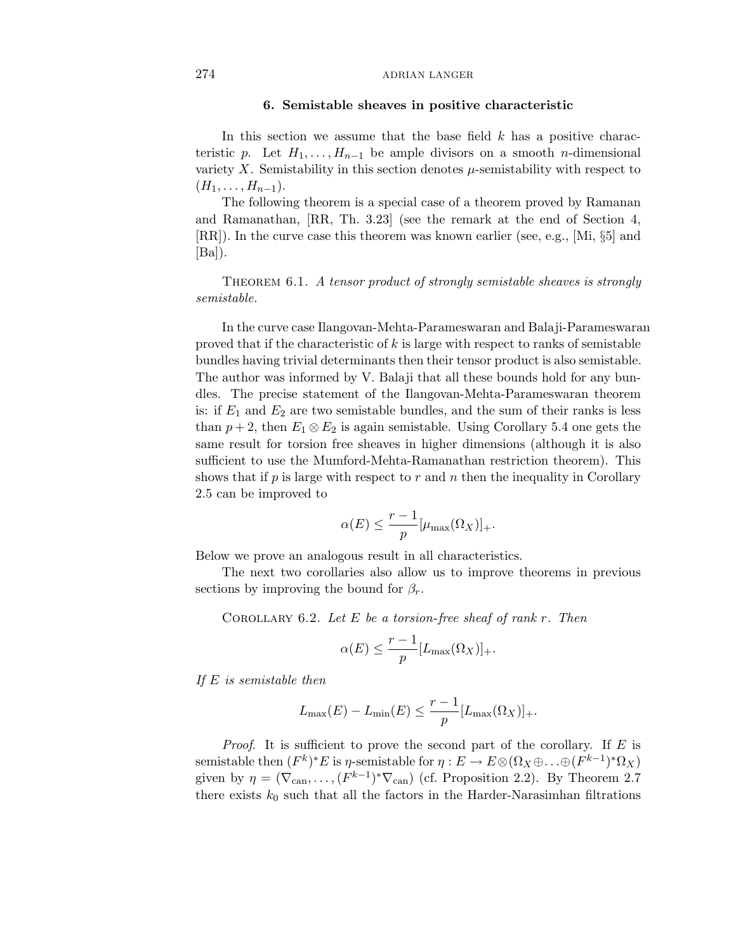#### **6. Semistable sheaves in positive characteristic**

In this section we assume that the base field *k* has a positive characteristic *p*. Let  $H_1, \ldots, H_{n-1}$  be ample divisors on a smooth *n*-dimensional variety  $X$ . Semistability in this section denotes  $\mu$ -semistability with respect to  $(H_1, \ldots, H_{n-1}).$ 

The following theorem is a special case of a theorem proved by Ramanan and Ramanathan, [RR, Th. 3.23] (see the remark at the end of Section 4, [RR]). In the curve case this theorem was known earlier (see, e.g., [Mi, §5] and  $|Ba|$ ).

THEOREM 6.1. A tensor product of strongly semistable sheaves is strongly semistable.

In the curve case Ilangovan-Mehta-Parameswaran and Balaji-Parameswaran proved that if the characteristic of *k* is large with respect to ranks of semistable bundles having trivial determinants then their tensor product is also semistable. The author was informed by V. Balaji that all these bounds hold for any bundles. The precise statement of the Ilangovan-Mehta-Parameswaran theorem is: if  $E_1$  and  $E_2$  are two semistable bundles, and the sum of their ranks is less than  $p + 2$ , then  $E_1 \otimes E_2$  is again semistable. Using Corollary 5.4 one gets the same result for torsion free sheaves in higher dimensions (although it is also sufficient to use the Mumford-Mehta-Ramanathan restriction theorem). This shows that if  $p$  is large with respect to  $r$  and  $n$  then the inequality in Corollary 2.5 can be improved to

$$
\alpha(E) \le \frac{r-1}{p} [\mu_{\max}(\Omega_X)]_+.
$$

Below we prove an analogous result in all characteristics.

The next two corollaries also allow us to improve theorems in previous sections by improving the bound for  $\beta_r$ .

Corollary 6.2. Let *E* be a torsion-free sheaf of rank *r*. Then

$$
\alpha(E) \le \frac{r-1}{p} [L_{\max}(\Omega_X)]_+.
$$

If *E* is semistable then

$$
L_{\max}(E) - L_{\min}(E) \leq \frac{r-1}{p} [L_{\max}(\Omega_X)]_+.
$$

Proof. It is sufficient to prove the second part of the corollary. If *E* is semistable then  $(F^k)^*E$  is *η*-semistable for  $\eta : E \to E \otimes (\Omega_X \oplus \ldots \oplus (F^{k-1})^* \Omega_X)$ given by  $\eta = (\nabla_{\text{can}}, \ldots, (F^{k-1})^* \nabla_{\text{can}})$  (cf. Proposition 2.2). By Theorem 2.7 there exists  $k_0$  such that all the factors in the Harder-Narasimhan filtrations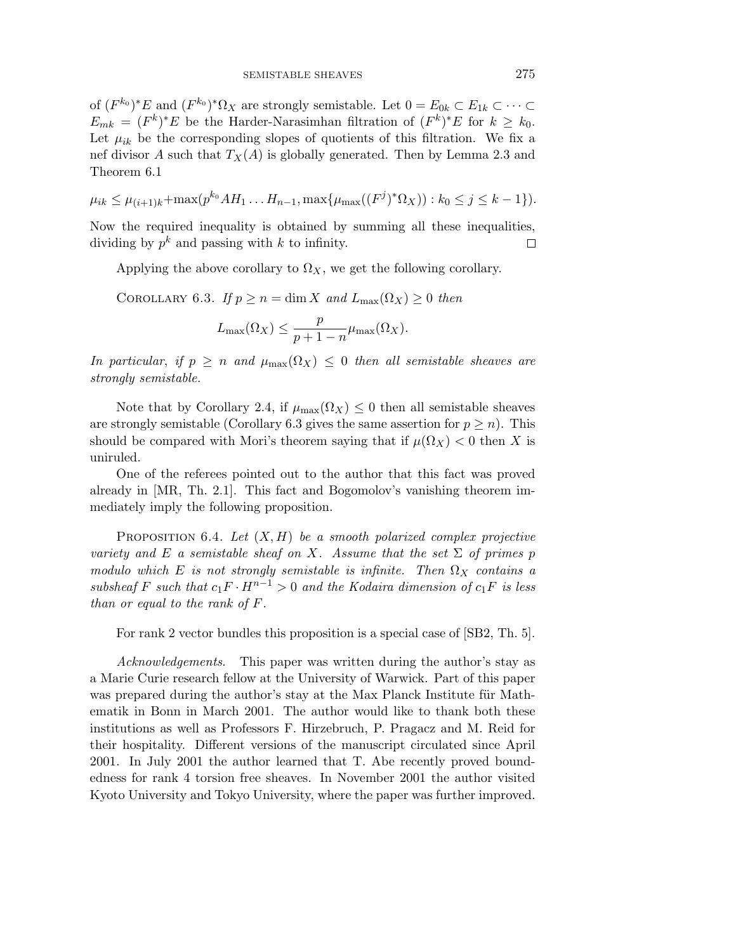of  $(F^{k_0})^*E$  and  $(F^{k_0})^*\Omega_X$  are strongly semistable. Let  $0 = E_{0k} \subset E_{1k} \subset \cdots \subset$ *E*<sub>mk</sub> =  $(F^k)^*E$  be the Harder-Narasimhan filtration of  $(F^k)^*E$  for  $k ≥ k_0$ . Let  $\mu_{ik}$  be the corresponding slopes of quotients of this filtration. We fix a nef divisor *A* such that  $T_X(A)$  is globally generated. Then by Lemma 2.3 and Theorem 6.1

$$
\mu_{ik} \leq \mu_{(i+1)k} + \max(p^{k_0} A H_1 \dots H_{n-1}, \max\{\mu_{\max}((F^j)^* \Omega_X) ): k_0 \leq j \leq k-1\}.
$$

Now the required inequality is obtained by summing all these inequalities, dividing by  $p^k$  and passing with  $k$  to infinity.  $\Box$ 

Applying the above corollary to  $\Omega_X$ , we get the following corollary.

COROLLARY 6.3. If  $p \ge n = \dim X$  and  $L_{\max}(\Omega_X) \ge 0$  then

$$
L_{\max}(\Omega_X) \leq \frac{p}{p+1-n} \mu_{\max}(\Omega_X).
$$

In particular, if  $p \ge n$  and  $\mu_{\max}(\Omega_X) \le 0$  then all semistable sheaves are strongly semistable.

Note that by Corollary 2.4, if  $\mu_{\max}(\Omega_X) \leq 0$  then all semistable sheaves are strongly semistable (Corollary 6.3 gives the same assertion for  $p \ge n$ ). This should be compared with Mori's theorem saying that if  $\mu(\Omega_X) < 0$  then X is uniruled.

One of the referees pointed out to the author that this fact was proved already in [MR, Th. 2.1]. This fact and Bogomolov's vanishing theorem immediately imply the following proposition.

PROPOSITION  $6.4$ . Let  $(X, H)$  be a smooth polarized complex projective variety and *E* a semistable sheaf on *X*. Assume that the set  $\Sigma$  of primes *p* modulo which *E* is not strongly semistable is infinite. Then  $\Omega_X$  contains a subsheaf *F* such that  $c_1F \cdot H^{n-1} > 0$  and the Kodaira dimension of  $c_1F$  is less than or equal to the rank of *F*.

For rank 2 vector bundles this proposition is a special case of [SB2, Th. 5].

Acknowledgements. This paper was written during the author's stay as a Marie Curie research fellow at the University of Warwick. Part of this paper was prepared during the author's stay at the Max Planck Institute für Mathematik in Bonn in March 2001. The author would like to thank both these institutions as well as Professors F. Hirzebruch, P. Pragacz and M. Reid for their hospitality. Different versions of the manuscript circulated since April 2001. In July 2001 the author learned that T. Abe recently proved boundedness for rank 4 torsion free sheaves. In November 2001 the author visited Kyoto University and Tokyo University, where the paper was further improved.